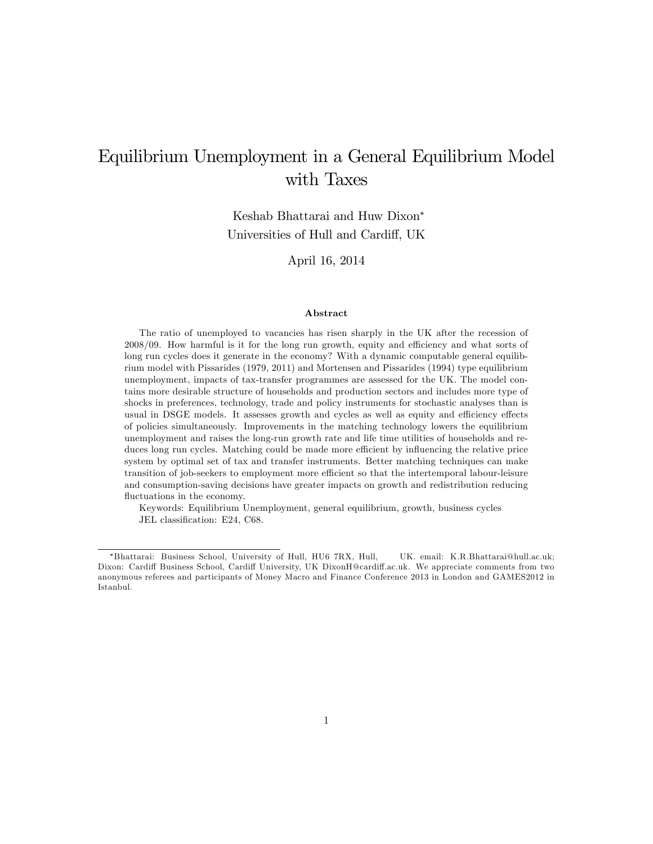# Equilibrium Unemployment in a General Equilibrium Model with Taxes

Keshab Bhattarai and Huw Dixon Universities of Hull and Cardiff, UK

April 16, 2014

#### Abstract

The ratio of unemployed to vacancies has risen sharply in the UK after the recession of  $2008/09$ . How harmful is it for the long run growth, equity and efficiency and what sorts of long run cycles does it generate in the economy? With a dynamic computable general equilibrium model with Pissarides (1979, 2011) and Mortensen and Pissarides (1994) type equilibrium unemployment, impacts of tax-transfer programmes are assessed for the UK. The model contains more desirable structure of households and production sectors and includes more type of shocks in preferences, technology, trade and policy instruments for stochastic analyses than is usual in DSGE models. It assesses growth and cycles as well as equity and efficiency effects of policies simultaneously. Improvements in the matching technology lowers the equilibrium unemployment and raises the long-run growth rate and life time utilities of households and reduces long run cycles. Matching could be made more efficient by influencing the relative price system by optimal set of tax and transfer instruments. Better matching techniques can make transition of job-seekers to employment more efficient so that the intertemporal labour-leisure and consumption-saving decisions have greater impacts on growth and redistribution reducing fluctuations in the economy.

Keywords: Equilibrium Unemployment, general equilibrium, growth, business cycles JEL classification: E24, C68.

Bhattarai: Business School, University of Hull, HU6 7RX, Hull, UK. email: K.R.Bhattarai@hull.ac.uk; Dixon: Cardiff Business School, Cardiff University, UK DixonH@cardiff.ac.uk. We appreciate comments from two anonymous referees and participants of Money Macro and Finance Conference 2013 in London and GAMES2012 in Istanbul.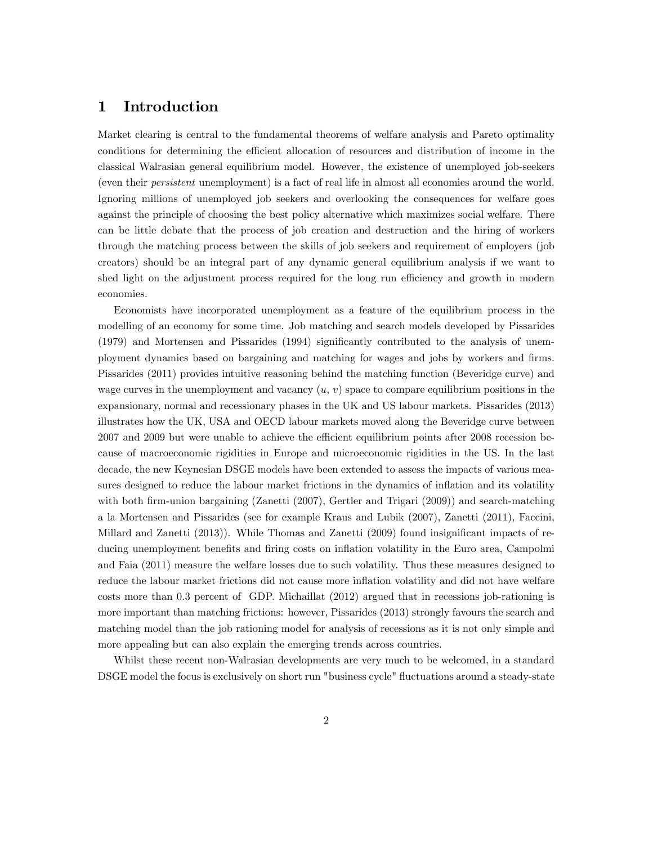### 1 Introduction

Market clearing is central to the fundamental theorems of welfare analysis and Pareto optimality conditions for determining the efficient allocation of resources and distribution of income in the classical Walrasian general equilibrium model. However, the existence of unemployed job-seekers (even their persistent unemployment) is a fact of real life in almost all economies around the world. Ignoring millions of unemployed job seekers and overlooking the consequences for welfare goes against the principle of choosing the best policy alternative which maximizes social welfare. There can be little debate that the process of job creation and destruction and the hiring of workers through the matching process between the skills of job seekers and requirement of employers (job creators) should be an integral part of any dynamic general equilibrium analysis if we want to shed light on the adjustment process required for the long run efficiency and growth in modern economies.

Economists have incorporated unemployment as a feature of the equilibrium process in the modelling of an economy for some time. Job matching and search models developed by Pissarides (1979) and Mortensen and Pissarides (1994) significantly contributed to the analysis of unemployment dynamics based on bargaining and matching for wages and jobs by workers and firms. Pissarides (2011) provides intuitive reasoning behind the matching function (Beveridge curve) and wage curves in the unemployment and vacancy  $(u, v)$  space to compare equilibrium positions in the expansionary, normal and recessionary phases in the UK and US labour markets. Pissarides (2013) illustrates how the UK, USA and OECD labour markets moved along the Beveridge curve between 2007 and 2009 but were unable to achieve the efficient equilibrium points after 2008 recession because of macroeconomic rigidities in Europe and microeconomic rigidities in the US. In the last decade, the new Keynesian DSGE models have been extended to assess the impacts of various measures designed to reduce the labour market frictions in the dynamics of inflation and its volatility with both firm-union bargaining (Zanetti (2007), Gertler and Trigari (2009)) and search-matching a la Mortensen and Pissarides (see for example Kraus and Lubik (2007), Zanetti (2011), Faccini, Millard and Zanetti (2013)). While Thomas and Zanetti (2009) found insignificant impacts of reducing unemployment benefits and firing costs on inflation volatility in the Euro area, Campolmi and Faia (2011) measure the welfare losses due to such volatility. Thus these measures designed to reduce the labour market frictions did not cause more inflation volatility and did not have welfare costs more than 0.3 percent of GDP. Michaillat (2012) argued that in recessions job-rationing is more important than matching frictions: however, Pissarides (2013) strongly favours the search and matching model than the job rationing model for analysis of recessions as it is not only simple and more appealing but can also explain the emerging trends across countries.

Whilst these recent non-Walrasian developments are very much to be welcomed, in a standard DSGE model the focus is exclusively on short run "business cycle" fluctuations around a steady-state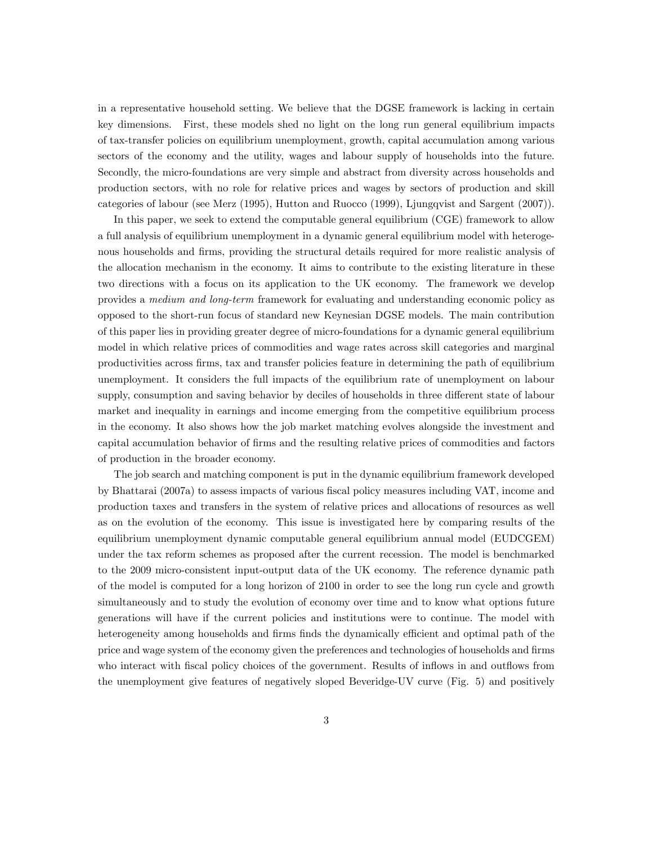in a representative household setting. We believe that the DGSE framework is lacking in certain key dimensions. First, these models shed no light on the long run general equilibrium impacts of tax-transfer policies on equilibrium unemployment, growth, capital accumulation among various sectors of the economy and the utility, wages and labour supply of households into the future. Secondly, the micro-foundations are very simple and abstract from diversity across households and production sectors, with no role for relative prices and wages by sectors of production and skill categories of labour (see Merz (1995), Hutton and Ruocco (1999), Ljungqvist and Sargent (2007)).

In this paper, we seek to extend the computable general equilibrium (CGE) framework to allow a full analysis of equilibrium unemployment in a dynamic general equilibrium model with heterogenous households and firms, providing the structural details required for more realistic analysis of the allocation mechanism in the economy. It aims to contribute to the existing literature in these two directions with a focus on its application to the UK economy. The framework we develop provides a medium and long-term framework for evaluating and understanding economic policy as opposed to the short-run focus of standard new Keynesian DGSE models. The main contribution of this paper lies in providing greater degree of micro-foundations for a dynamic general equilibrium model in which relative prices of commodities and wage rates across skill categories and marginal productivities across Örms, tax and transfer policies feature in determining the path of equilibrium unemployment. It considers the full impacts of the equilibrium rate of unemployment on labour supply, consumption and saving behavior by deciles of households in three different state of labour market and inequality in earnings and income emerging from the competitive equilibrium process in the economy. It also shows how the job market matching evolves alongside the investment and capital accumulation behavior of firms and the resulting relative prices of commodities and factors of production in the broader economy.

The job search and matching component is put in the dynamic equilibrium framework developed by Bhattarai (2007a) to assess impacts of various Öscal policy measures including VAT, income and production taxes and transfers in the system of relative prices and allocations of resources as well as on the evolution of the economy. This issue is investigated here by comparing results of the equilibrium unemployment dynamic computable general equilibrium annual model (EUDCGEM) under the tax reform schemes as proposed after the current recession. The model is benchmarked to the 2009 micro-consistent input-output data of the UK economy. The reference dynamic path of the model is computed for a long horizon of 2100 in order to see the long run cycle and growth simultaneously and to study the evolution of economy over time and to know what options future generations will have if the current policies and institutions were to continue. The model with heterogeneity among households and firms finds the dynamically efficient and optimal path of the price and wage system of the economy given the preferences and technologies of households and firms who interact with fiscal policy choices of the government. Results of inflows in and outflows from the unemployment give features of negatively sloped Beveridge-UV curve (Fig. 5) and positively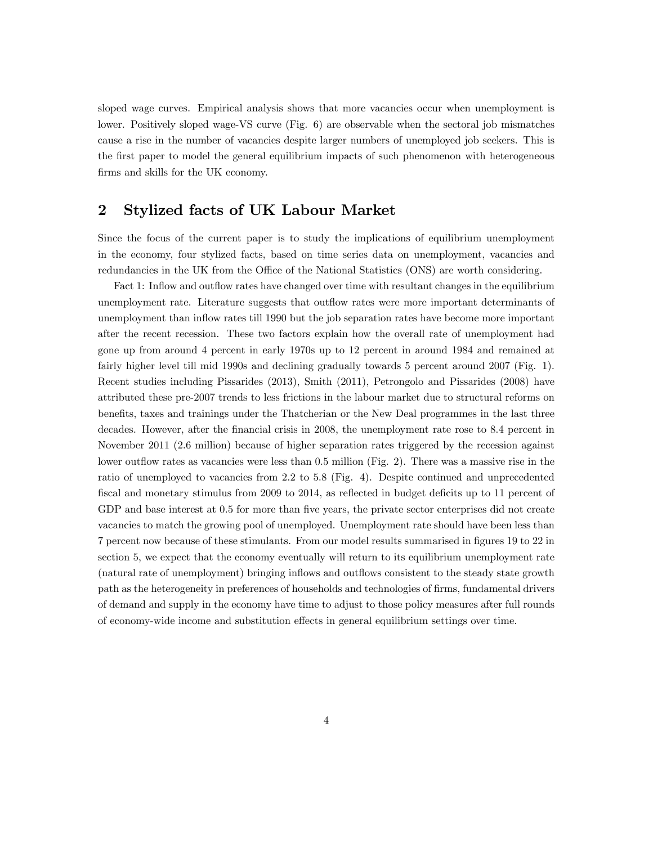sloped wage curves. Empirical analysis shows that more vacancies occur when unemployment is lower. Positively sloped wage-VS curve (Fig. 6) are observable when the sectoral job mismatches cause a rise in the number of vacancies despite larger numbers of unemployed job seekers. This is the first paper to model the general equilibrium impacts of such phenomenon with heterogeneous firms and skills for the UK economy.

### 2 Stylized facts of UK Labour Market

Since the focus of the current paper is to study the implications of equilibrium unemployment in the economy, four stylized facts, based on time series data on unemployment, vacancies and redundancies in the UK from the Office of the National Statistics (ONS) are worth considering.

Fact 1: Inflow and outflow rates have changed over time with resultant changes in the equilibrium unemployment rate. Literature suggests that outflow rates were more important determinants of unemployment than inflow rates till 1990 but the job separation rates have become more important after the recent recession. These two factors explain how the overall rate of unemployment had gone up from around 4 percent in early 1970s up to 12 percent in around 1984 and remained at fairly higher level till mid 1990s and declining gradually towards 5 percent around 2007 (Fig. 1). Recent studies including Pissarides (2013), Smith (2011), Petrongolo and Pissarides (2008) have attributed these pre-2007 trends to less frictions in the labour market due to structural reforms on benefits, taxes and trainings under the Thatcherian or the New Deal programmes in the last three decades. However, after the financial crisis in 2008, the unemployment rate rose to 8.4 percent in November 2011 (2.6 million) because of higher separation rates triggered by the recession against lower outflow rates as vacancies were less than 0.5 million (Fig. 2). There was a massive rise in the ratio of unemployed to vacancies from 2.2 to 5.8 (Fig. 4). Despite continued and unprecedented fiscal and monetary stimulus from 2009 to 2014, as reflected in budget deficits up to 11 percent of GDP and base interest at 0.5 for more than five years, the private sector enterprises did not create vacancies to match the growing pool of unemployed. Unemployment rate should have been less than 7 percent now because of these stimulants. From our model results summarised in Ögures 19 to 22 in section 5, we expect that the economy eventually will return to its equilibrium unemployment rate (natural rate of unemployment) bringing inflows and outflows consistent to the steady state growth path as the heterogeneity in preferences of households and technologies of firms, fundamental drivers of demand and supply in the economy have time to adjust to those policy measures after full rounds of economy-wide income and substitution effects in general equilibrium settings over time.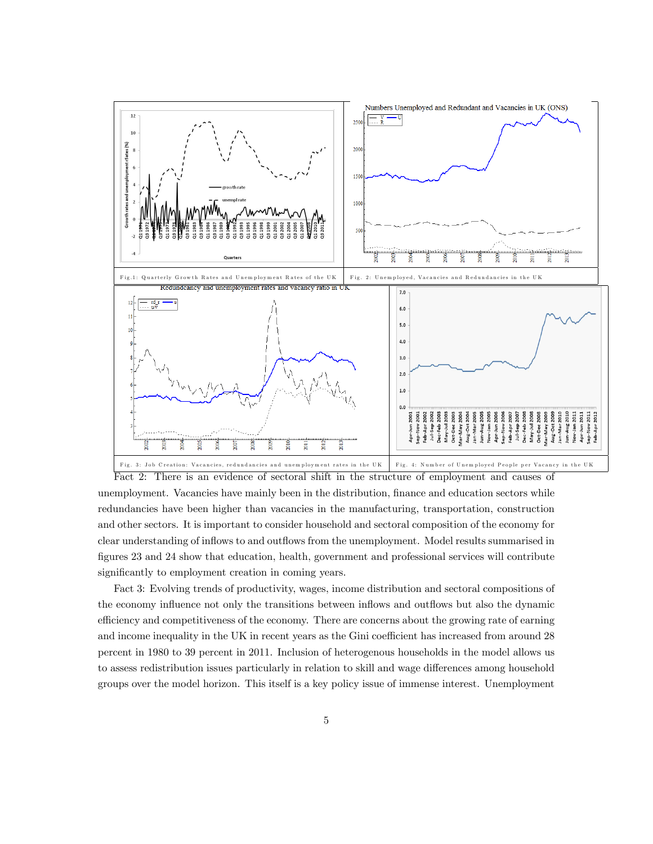

unemployment. Vacancies have mainly been in the distribution, finance and education sectors while redundancies have been higher than vacancies in the manufacturing, transportation, construction and other sectors. It is important to consider household and sectoral composition of the economy for clear understanding of inflows to and outflows from the unemployment. Model results summarised in figures 23 and 24 show that education, health, government and professional services will contribute significantly to employment creation in coming years.

Fact 3: Evolving trends of productivity, wages, income distribution and sectoral compositions of the economy influence not only the transitions between inflows and outflows but also the dynamic efficiency and competitiveness of the economy. There are concerns about the growing rate of earning and income inequality in the UK in recent years as the Gini coefficient has increased from around 28 percent in 1980 to 39 percent in 2011. Inclusion of heterogenous households in the model allows us to assess redistribution issues particularly in relation to skill and wage differences among household groups over the model horizon. This itself is a key policy issue of immense interest. Unemployment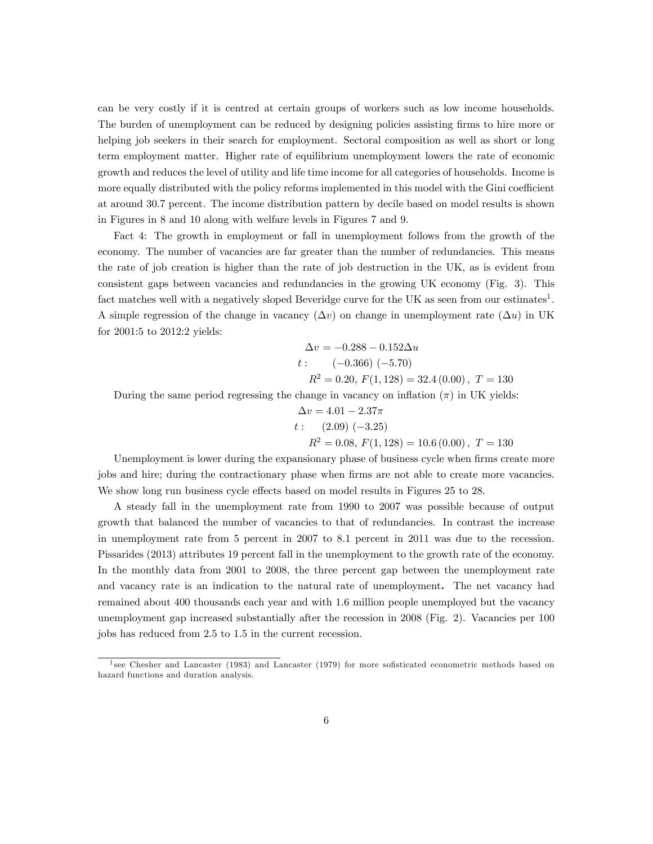can be very costly if it is centred at certain groups of workers such as low income households. The burden of unemployment can be reduced by designing policies assisting firms to hire more or helping job seekers in their search for employment. Sectoral composition as well as short or long term employment matter. Higher rate of equilibrium unemployment lowers the rate of economic growth and reduces the level of utility and life time income for all categories of households. Income is more equally distributed with the policy reforms implemented in this model with the Gini coefficient at around 30.7 percent. The income distribution pattern by decile based on model results is shown in Figures in 8 and 10 along with welfare levels in Figures 7 and 9.

Fact 4: The growth in employment or fall in unemployment follows from the growth of the economy. The number of vacancies are far greater than the number of redundancies. This means the rate of job creation is higher than the rate of job destruction in the UK, as is evident from consistent gaps between vacancies and redundancies in the growing UK economy (Fig. 3). This fact matches well with a negatively sloped Beveridge curve for the UK as seen from our estimates<sup>1</sup>. A simple regression of the change in vacancy  $(\Delta v)$  on change in unemployment rate  $(\Delta u)$  in UK for 2001:5 to 2012:2 yields:

$$
\Delta v = -0.288 - 0.152 \Delta u
$$
  

$$
t: (-0.366) (-5.70)
$$
  

$$
R^2 = 0.20, F(1, 128) = 32.4 (0.00), T = 130
$$

During the same period regressing the change in vacancy on inflation  $(\pi)$  in UK yields:

$$
\Delta v = 4.01 - 2.37\pi
$$
  
 $t: (2.09) (-3.25)$   
 $R^2 = 0.08, F(1, 128) = 10.6 (0.00), T = 130$ 

Unemployment is lower during the expansionary phase of business cycle when firms create more jobs and hire; during the contractionary phase when firms are not able to create more vacancies. We show long run business cycle effects based on model results in Figures 25 to 28.

A steady fall in the unemployment rate from 1990 to 2007 was possible because of output growth that balanced the number of vacancies to that of redundancies. In contrast the increase in unemployment rate from 5 percent in 2007 to 8.1 percent in 2011 was due to the recession. Pissarides (2013) attributes 19 percent fall in the unemployment to the growth rate of the economy. In the monthly data from 2001 to 2008, the three percent gap between the unemployment rate and vacancy rate is an indication to the natural rate of unemployment. The net vacancy had remained about 400 thousands each year and with 1.6 million people unemployed but the vacancy unemployment gap increased substantially after the recession in 2008 (Fig. 2). Vacancies per 100 jobs has reduced from 2.5 to 1.5 in the current recession.

<sup>&</sup>lt;sup>1</sup> see Chesher and Lancaster (1983) and Lancaster (1979) for more sofisticated econometric methods based on hazard functions and duration analysis.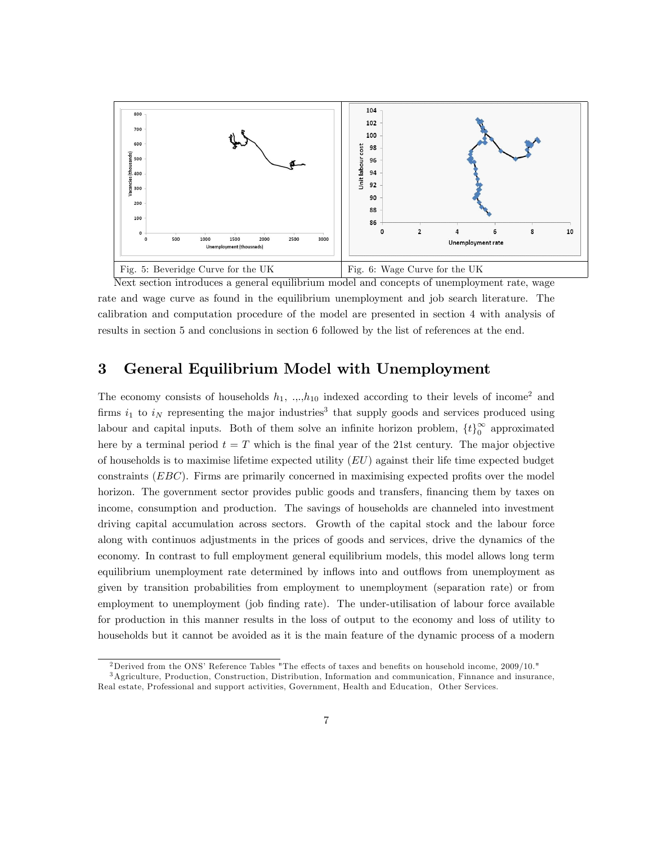

Next section introduces a general equilibrium model and concepts of unemployment rate, wage rate and wage curve as found in the equilibrium unemployment and job search literature. The calibration and computation procedure of the model are presented in section 4 with analysis of results in section 5 and conclusions in section 6 followed by the list of references at the end.

## 3 General Equilibrium Model with Unemployment

The economy consists of households  $h_1$ , ..., $h_{10}$  indexed according to their levels of income<sup>2</sup> and firms  $i_1$  to  $i_N$  representing the major industries<sup>3</sup> that supply goods and services produced using labour and capital inputs. Both of them solve an infinite horizon problem,  $\{t\}_0^{\infty}$  approximated here by a terminal period  $t = T$  which is the final year of the 21st century. The major objective of households is to maximise lifetime expected utility  $(EU)$  against their life time expected budget constraints  $(EBC)$ . Firms are primarily concerned in maximising expected profits over the model horizon. The government sector provides public goods and transfers, financing them by taxes on income, consumption and production. The savings of households are channeled into investment driving capital accumulation across sectors. Growth of the capital stock and the labour force along with continuos adjustments in the prices of goods and services, drive the dynamics of the economy. In contrast to full employment general equilibrium models, this model allows long term equilibrium unemployment rate determined by inflows into and outflows from unemployment as given by transition probabilities from employment to unemployment (separation rate) or from employment to unemployment (job finding rate). The under-utilisation of labour force available for production in this manner results in the loss of output to the economy and loss of utility to households but it cannot be avoided as it is the main feature of the dynamic process of a modern

<sup>&</sup>lt;sup>2</sup>Derived from the ONS<sup></sup> Reference Tables "The effects of taxes and benefits on household income,  $2009/10$ ."

<sup>3</sup>Agriculture, Production, Construction, Distribution, Information and communication, Finnance and insurance, Real estate, Professional and support activities, Government, Health and Education, Other Services.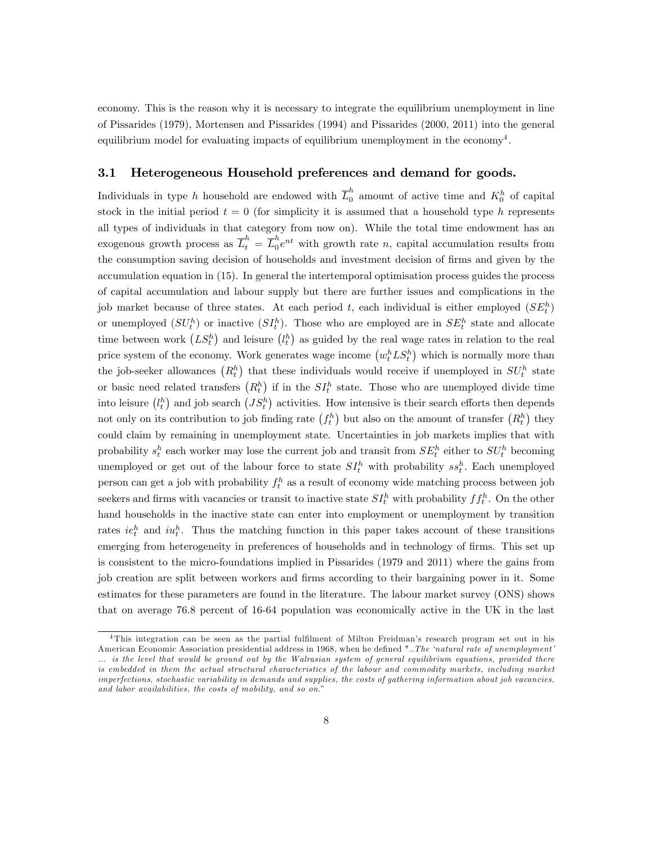economy. This is the reason why it is necessary to integrate the equilibrium unemployment in line of Pissarides (1979), Mortensen and Pissarides (1994) and Pissarides (2000, 2011) into the general equilibrium model for evaluating impacts of equilibrium unemployment in the economy<sup>4</sup>.

### 3.1 Heterogeneous Household preferences and demand for goods.

Individuals in type h household are endowed with  $\overline{L}_0^h$  amount of active time and  $K_0^h$  of capital stock in the initial period  $t = 0$  (for simplicity it is assumed that a household type h represents all types of individuals in that category from now on). While the total time endowment has an exogenous growth process as  $\overline{L}_t^h = \overline{L}_0^h$  $_{0}^{n}e^{nt}$  with growth rate *n*, capital accumulation results from the consumption saving decision of households and investment decision of firms and given by the accumulation equation in (15). In general the intertemporal optimisation process guides the process of capital accumulation and labour supply but there are further issues and complications in the job market because of three states. At each period t, each individual is either employed  $(SE_t^h)$ or unemployed  $(SU_t^h)$  or inactive  $(SI_t^h)$ . Those who are employed are in  $SE_t^h$  state and allocate time between work  $(LS_t^h)$  and leisure  $(l_t^h)$  as guided by the real wage rates in relation to the real price system of the economy. Work generates wage income  $(w_t^h L S_t^h)$  which is normally more than the job-seeker allowances  $(R_t^h)$  that these individuals would receive if unemployed in  $SU_t^h$  state or basic need related transfers  $(R_t^h)$  if in the  $SI_t^h$  state. Those who are unemployed divide time into leisure  $(l_t^h)$  and job search  $(JS_t^h)$  activities. How intensive is their search efforts then depends not only on its contribution to job finding rate  $(f_t^h)$  but also on the amount of transfer  $(R_t^h)$  they could claim by remaining in unemployment state. Uncertainties in job markets implies that with probability  $s_t^h$  each worker may lose the current job and transit from  $SE_t^h$  either to  $SU_t^h$  becoming unemployed or get out of the labour force to state  $SI_t^h$  with probability  $ss_t^h$ . Each unemployed person can get a job with probability  $f_t^h$  as a result of economy wide matching process between job seekers and firms with vacancies or transit to inactive state  $SI_t^h$  with probability  $ff_t^h$ . On the other hand households in the inactive state can enter into employment or unemployment by transition rates  $ie_t^h$  and  $iu_t^h$ . Thus the matching function in this paper takes account of these transitions emerging from heterogeneity in preferences of households and in technology of firms. This set up is consistent to the micro-foundations implied in Pissarides (1979 and 2011) where the gains from job creation are split between workers and firms according to their bargaining power in it. Some estimates for these parameters are found in the literature. The labour market survey (ONS) shows that on average 76.8 percent of 16-64 population was economically active in the UK in the last

<sup>&</sup>lt;sup>4</sup>This integration can be seen as the partial fulfilment of Milton Freidman's research program set out in his American Economic Association presidential address in 1968, when he defined "...The 'natural rate of unemployment' ... is the level that would be ground out by the Walrasian system of general equilibrium equations, provided there is embedded in them the actual structural characteristics of the labour and commodity markets, including market imperfections, stochastic variability in demands and supplies, the costs of gathering information about job vacancies, and labor availabilities, the costs of mobility, and so on."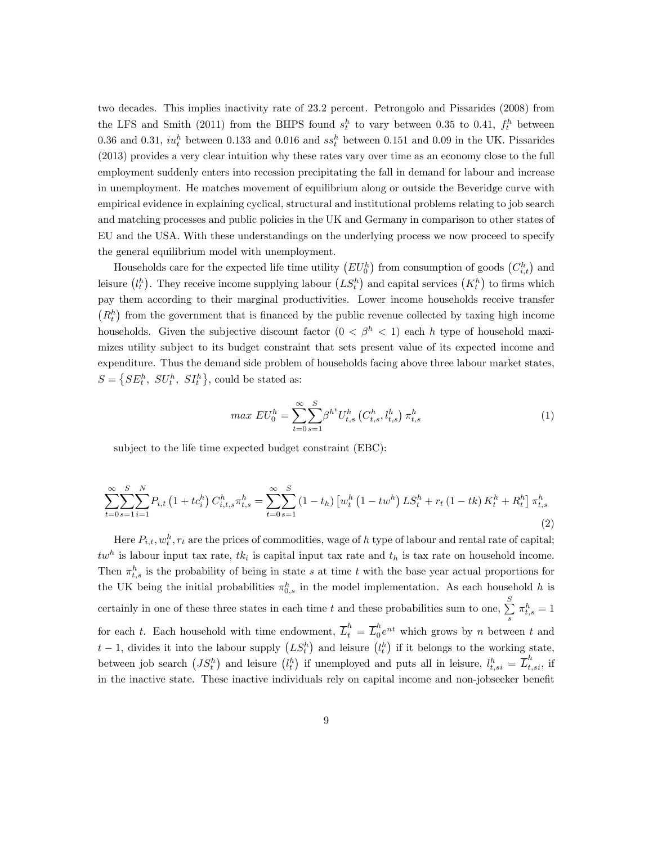two decades. This implies inactivity rate of 23.2 percent. Petrongolo and Pissarides (2008) from the LFS and Smith (2011) from the BHPS found  $s_t^h$  to vary between 0.35 to 0.41,  $f_t^h$  between 0.36 and 0.31,  $iu_t^h$  between 0.133 and 0.016 and  $ss_t^h$  between 0.151 and 0.09 in the UK. Pissarides (2013) provides a very clear intuition why these rates vary over time as an economy close to the full employment suddenly enters into recession precipitating the fall in demand for labour and increase in unemployment. He matches movement of equilibrium along or outside the Beveridge curve with empirical evidence in explaining cyclical, structural and institutional problems relating to job search and matching processes and public policies in the UK and Germany in comparison to other states of EU and the USA. With these understandings on the underlying process we now proceed to specify the general equilibrium model with unemployment.

Households care for the expected life time utility  $(EU_0^h)$  from consumption of goods  $(C_{i,t}^h)$  and leisure  $(l_t^h)$ . They receive income supplying labour  $(LS_t^h)$  and capital services  $(K_t^h)$  to firms which pay them according to their marginal productivities. Lower income households receive transfer  $(R_t^h)$  from the government that is financed by the public revenue collected by taxing high income households. Given the subjective discount factor  $(0 < \beta^h < 1)$  each h type of household maximizes utility subject to its budget constraint that sets present value of its expected income and expenditure. Thus the demand side problem of households facing above three labour market states,  $S = \{SE_t^h, SU_t^h, SI_t^h\}$ , could be stated as:

$$
max\ EU_0^h = \sum_{t=0}^{\infty} \sum_{s=1}^S \beta^{h^t} U_{t,s}^h \left( C_{t,s}^h, l_{t,s}^h \right) \pi_{t,s}^h \tag{1}
$$

subject to the life time expected budget constraint (EBC):

$$
\sum_{t=0}^{\infty} \sum_{s=1}^{S} \sum_{i=1}^{N} P_{i,t} \left( 1 + t c_i^h \right) C_{i,t,s}^h \pi_{t,s}^h = \sum_{t=0}^{\infty} \sum_{s=1}^{S} \left( 1 - t_h \right) \left[ w_t^h \left( 1 - t w^h \right) L S_t^h + r_t \left( 1 - t k \right) K_t^h + R_t^h \right] \pi_{t,s}^h \tag{2}
$$

Here  $P_{i,t}$ ,  $w_t^h$ ,  $r_t$  are the prices of commodities, wage of h type of labour and rental rate of capital;  $tw<sup>h</sup>$  is labour input tax rate,  $tk<sub>i</sub>$  is capital input tax rate and  $t<sub>h</sub>$  is tax rate on household income. Then  $\pi_{t,s}^h$  is the probability of being in state s at time t with the base year actual proportions for the UK being the initial probabilities  $\pi_{0,s}^h$  in the model implementation. As each household h is certainly in one of these three states in each time t and these probabilities sum to one,  $\sum_{n=1}^{S}$  $\sum_s \pi^h_{t,s} = 1$ for each t. Each household with time endowment,  $\overline{L}_t^h = \overline{L}_0^h$  $_{0}^{n}e^{nt}$  which grows by *n* between *t* and  $t-1$ , divides it into the labour supply  $(LS_t^h)$  and leisure  $(l_t^h)$  if it belongs to the working state, between job search  $(JS_t^h)$  and leisure  $(l_t^h)$  if unemployed and puts all in leisure,  $l_{t,si}^h = \overline{L}_{t,si}^h$ , if in the inactive state. These inactive individuals rely on capital income and non-jobseeker benefit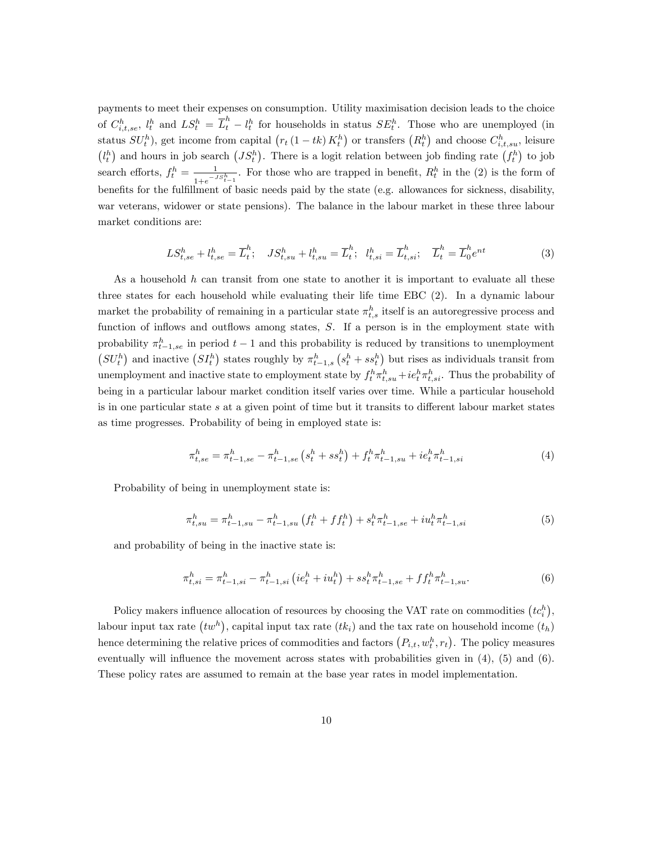payments to meet their expenses on consumption. Utility maximisation decision leads to the choice of  $C_{i,t,se}^h$ ,  $l_t^h$  and  $LS_t^h = \overline{L}_t^h - l_t^h$  for households in status  $SE_t^h$ . Those who are unemployed (in status  $SU_t^h$ ), get income from capital  $(r_t(1 - tk) K_t^h)$  or transfers  $(R_t^h)$  and choose  $C_{i,t,su}^h$ , leisure  $(l_t^h)$  and hours in job search  $(JS_t^h)$ . There is a logit relation between job finding rate  $(f_t^h)$  to job search efforts,  $f_t^h = \frac{1}{1 + e^{-t}}$  $\frac{1}{1+e^{-JS_{t-1}^h}}$ . For those who are trapped in benefit,  $R_t^h$  in the (2) is the form of benefits for the fulfillment of basic needs paid by the state (e.g. allowances for sickness, disability, war veterans, widower or state pensions). The balance in the labour market in these three labour market conditions are:

$$
LS_{t,se}^{h} + l_{t,se}^{h} = \overline{L}_{t}^{h}; \quad JS_{t,su}^{h} + l_{t,su}^{h} = \overline{L}_{t}^{h}; \quad l_{t,si}^{h} = \overline{L}_{t,si}^{h}; \quad \overline{L}_{t}^{h} = \overline{L}_{0}^{h}e^{nt}
$$
(3)

As a household  $h$  can transit from one state to another it is important to evaluate all these three states for each household while evaluating their life time EBC (2). In a dynamic labour market the probability of remaining in a particular state  $\pi^h_{t,s}$  itself is an autoregressive process and function of inflows and outflows among states,  $S$ . If a person is in the employment state with probability  $\pi_{t-1,se}^h$  in period  $t-1$  and this probability is reduced by transitions to unemployment  $(SU_t^h)$  and inactive  $(SI_t^h)$  states roughly by  $\pi_{t-1,s}^h(s_t^h + ss_t^h)$  but rises as individuals transit from unemployment and inactive state to employment state by  $f_t^h \pi_{t,s}^h + ie_t^h \pi_{t,s}^h$ . Thus the probability of being in a particular labour market condition itself varies over time. While a particular household is in one particular state s at a given point of time but it transits to different labour market states as time progresses. Probability of being in employed state is:

$$
\pi_{t,se}^h = \pi_{t-1,se}^h - \pi_{t-1,se}^h \left( s_t^h + s s_t^h \right) + f_t^h \pi_{t-1,su}^h + ie_t^h \pi_{t-1,si}^h \tag{4}
$$

Probability of being in unemployment state is:

$$
\pi_{t,su}^h = \pi_{t-1,su}^h - \pi_{t-1,su}^h \left( f_t^h + f f_t^h \right) + s_t^h \pi_{t-1,se}^h + i u_t^h \pi_{t-1,si}^h \tag{5}
$$

and probability of being in the inactive state is:

$$
\pi_{t,si}^h = \pi_{t-1,si}^h - \pi_{t-1,si}^h \left( i e_t^h + i u_t^h \right) + s s_t^h \pi_{t-1,se}^h + f f_t^h \pi_{t-1,su}^h. \tag{6}
$$

Policy makers influence allocation of resources by choosing the VAT rate on commodities  $(tc_i^h)$ , labour input tax rate  $(tw^h)$ , capital input tax rate  $(tk_i)$  and the tax rate on household income  $(t_h)$ hence determining the relative prices of commodities and factors  $(P_{i,t}, w_t^h, r_t)$ . The policy measures eventually will influence the movement across states with probabilities given in  $(4)$ ,  $(5)$  and  $(6)$ . These policy rates are assumed to remain at the base year rates in model implementation.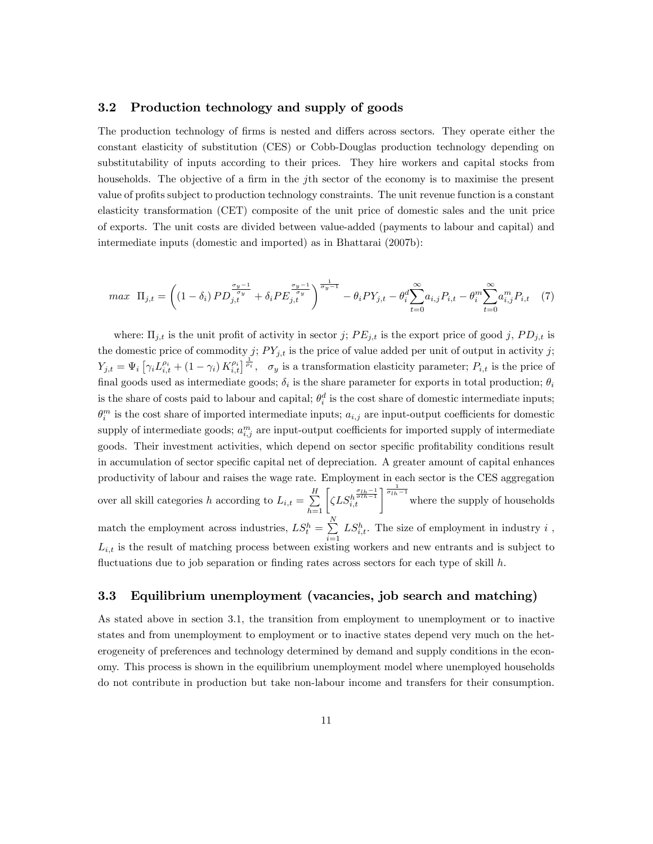#### 3.2 Production technology and supply of goods

The production technology of firms is nested and differs across sectors. They operate either the constant elasticity of substitution (CES) or Cobb-Douglas production technology depending on substitutability of inputs according to their prices. They hire workers and capital stocks from households. The objective of a firm in the jth sector of the economy is to maximise the present value of proÖts subject to production technology constraints. The unit revenue function is a constant elasticity transformation (CET) composite of the unit price of domestic sales and the unit price of exports. The unit costs are divided between value-added (payments to labour and capital) and intermediate inputs (domestic and imported) as in Bhattarai (2007b):

$$
max \ \Pi_{j,t} = \left( (1 - \delta_i) PD_{j,t}^{\frac{\sigma_y - 1}{\sigma_y}} + \delta_i PE_{j,t}^{\frac{\sigma_y - 1}{\sigma_y}} \right)^{\frac{1}{\sigma_y - 1}} - \theta_i PY_{j,t} - \theta_i^d \sum_{t=0}^{\infty} a_{i,j} P_{i,t} - \theta_i^m \sum_{t=0}^{\infty} a_{i,j}^m P_{i,t} \tag{7}
$$

where:  $\Pi_{j,t}$  is the unit profit of activity in sector j;  $PE_{j,t}$  is the export price of good j,  $PD_{j,t}$  is the domestic price of commodity j;  $PY_{j,t}$  is the price of value added per unit of output in activity j;  $Y_{j,t} = \Psi_i \left[ \gamma_i L_{i,t}^{\rho_i} + (1 - \gamma_i) K_{i,t}^{\rho_i} \right]_{\rho_i}^{\frac{1}{\rho_i}}, \sigma_y$  is a transformation elasticity parameter;  $P_{i,t}$  is the price of final goods used as intermediate goods;  $\delta_i$  is the share parameter for exports in total production;  $\theta_i$ is the share of costs paid to labour and capital;  $\theta_i^d$  is the cost share of domestic intermediate inputs;  $\theta_i^m$  is the cost share of imported intermediate inputs;  $a_{i,j}$  are input-output coefficients for domestic supply of intermediate goods;  $a_{i,j}^m$  are input-output coefficients for imported supply of intermediate goods. Their investment activities, which depend on sector specific profitability conditions result in accumulation of sector specific capital net of depreciation. A greater amount of capital enhances productivity of labour and raises the wage rate. Employment in each sector is the CES aggregation over all skill categories h according to  $L_{i,t} = \sum_{h=1}^{H} \left[ \zeta L S_{i,t}^{h} \right]^{\frac{q_{th}-1}{\sigma_{th}-1}}$  where the supply of households match the employment across industries,  $LS_t^h = \sum_{h=1}^{N}$  $i=1$  $LS_{i,t}^h$ . The size of employment in industry i,  $L_{i,t}$  is the result of matching process between existing workers and new entrants and is subject to fluctuations due to job separation or finding rates across sectors for each type of skill  $h$ .

#### 3.3 Equilibrium unemployment (vacancies, job search and matching)

As stated above in section 3.1, the transition from employment to unemployment or to inactive states and from unemployment to employment or to inactive states depend very much on the heterogeneity of preferences and technology determined by demand and supply conditions in the economy. This process is shown in the equilibrium unemployment model where unemployed households do not contribute in production but take non-labour income and transfers for their consumption.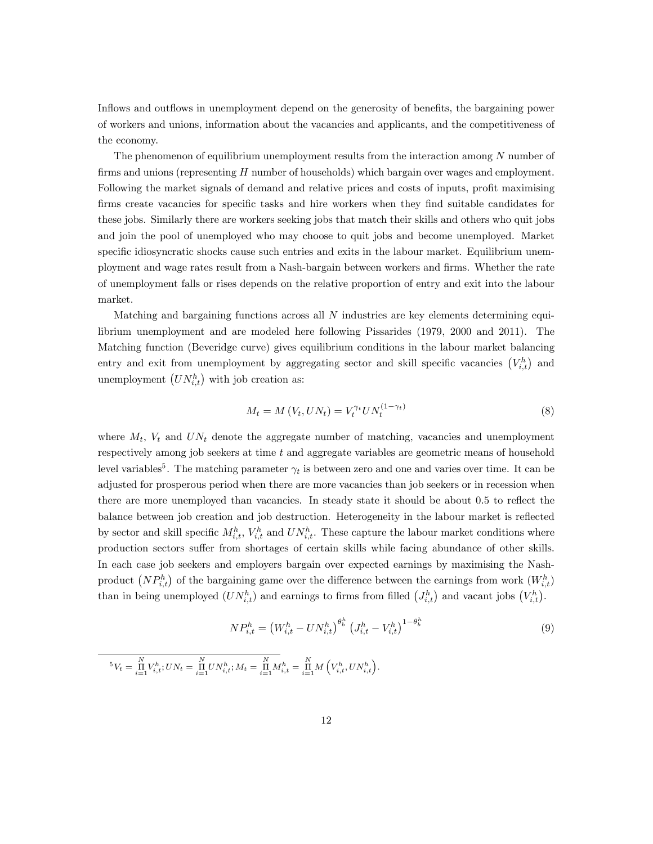Inflows and outflows in unemployment depend on the generosity of benefits, the bargaining power of workers and unions, information about the vacancies and applicants, and the competitiveness of the economy.

The phenomenon of equilibrium unemployment results from the interaction among N number of firms and unions (representing  $H$  number of households) which bargain over wages and employment. Following the market signals of demand and relative prices and costs of inputs, profit maximising firms create vacancies for specific tasks and hire workers when they find suitable candidates for these jobs. Similarly there are workers seeking jobs that match their skills and others who quit jobs and join the pool of unemployed who may choose to quit jobs and become unemployed. Market specific idiosyncratic shocks cause such entries and exits in the labour market. Equilibrium unemployment and wage rates result from a Nash-bargain between workers and Örms. Whether the rate of unemployment falls or rises depends on the relative proportion of entry and exit into the labour market.

Matching and bargaining functions across all N industries are key elements determining equilibrium unemployment and are modeled here following Pissarides (1979, 2000 and 2011). The Matching function (Beveridge curve) gives equilibrium conditions in the labour market balancing entry and exit from unemployment by aggregating sector and skill specific vacancies  $(V_{i,t}^h)$  and unemployment  $(UN_{i,t}^h)$  with job creation as:

$$
M_t = M(V_t, UN_t) = V_t^{\gamma_t} U N_t^{(1-\gamma_t)}
$$
\n(8)

where  $M_t$ ,  $V_t$  and  $UN_t$  denote the aggregate number of matching, vacancies and unemployment respectively among job seekers at time  $t$  and aggregate variables are geometric means of household level variables<sup>5</sup>. The matching parameter  $\gamma_t$  is between zero and one and varies over time. It can be adjusted for prosperous period when there are more vacancies than job seekers or in recession when there are more unemployed than vacancies. In steady state it should be about 0.5 to reflect the balance between job creation and job destruction. Heterogeneity in the labour market is reflected by sector and skill specific  $M_{i,t}^h$ ,  $V_{i,t}^h$  and  $UN_{i,t}^h$ . These capture the labour market conditions where production sectors suffer from shortages of certain skills while facing abundance of other skills. In each case job seekers and employers bargain over expected earnings by maximising the Nashproduct  $(NP_{i,t}^h)$  of the bargaining game over the difference between the earnings from work  $(W_{i,t}^h)$ than in being unemployed  $(UN_{i,t}^h)$  and earnings to firms from filled  $(J_{i,t}^h)$  and vacant jobs  $(V_{i,t}^h)$ .

$$
NP_{i,t}^{h} = \left(W_{i,t}^{h} - UN_{i,t}^{h}\right)^{\theta_{b}^{h}} \left(J_{i,t}^{h} - V_{i,t}^{h}\right)^{1-\theta_{b}^{h}}
$$
\n(9)

 ${}^{5}V_{t} = \prod_{i=1}^{N} V_{i,t}^{h}; UN_{t} = \prod_{i=1}^{N} UN_{i,t}^{h}; M_{t} = \prod_{i=1}^{N} M_{i,t}^{h} = \prod_{i=1}^{N} M\left(V_{i,t}^{h}, UN_{i,t}^{h}\right).$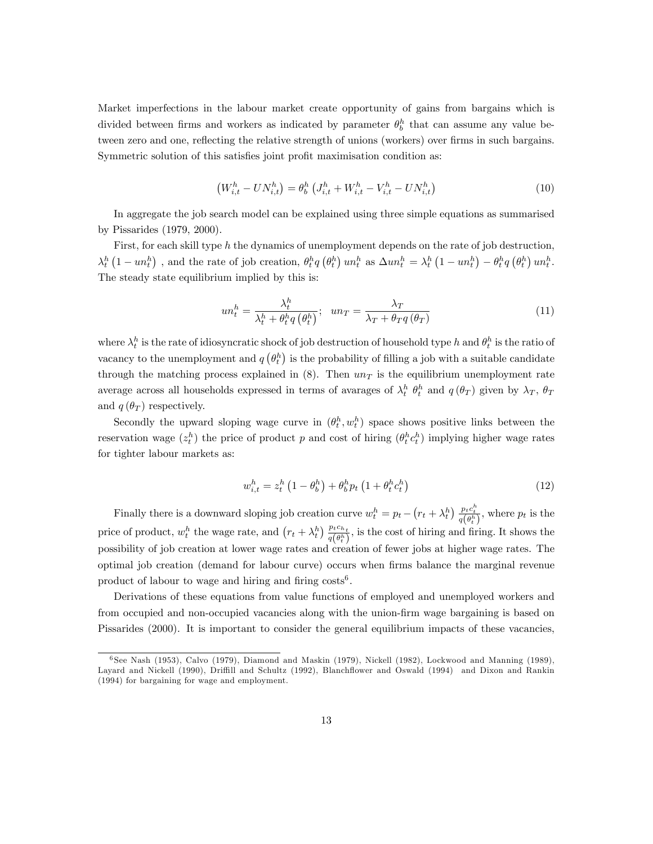Market imperfections in the labour market create opportunity of gains from bargains which is divided between firms and workers as indicated by parameter  $\theta_b^h$  that can assume any value between zero and one, reflecting the relative strength of unions (workers) over firms in such bargains. Symmetric solution of this satisfies joint profit maximisation condition as:

$$
(W_{i,t}^h - UN_{i,t}^h) = \theta_b^h \left( J_{i,t}^h + W_{i,t}^h - V_{i,t}^h - UN_{i,t}^h \right) \tag{10}
$$

In aggregate the job search model can be explained using three simple equations as summarised by Pissarides (1979, 2000).

First, for each skill type  $h$  the dynamics of unemployment depends on the rate of job destruction,  $\lambda_t^h\left(1-un_t^h\right)$ , and the rate of job creation,  $\theta_t^h q\left(\theta_t^h\right) un_t^h$  as  $\Delta un_t^h = \lambda_t^h\left(1-un_t^h\right) - \theta_t^h q\left(\theta_t^h\right) un_t^h$ . The steady state equilibrium implied by this is:

$$
un_t^h = \frac{\lambda_t^h}{\lambda_t^h + \theta_t^h q(\theta_t^h)}; \quad un_T = \frac{\lambda_T}{\lambda_T + \theta_T q(\theta_T)}\tag{11}
$$

where  $\lambda_t^h$  is the rate of idiosyncratic shock of job destruction of household type h and  $\theta_t^h$  is the ratio of vacancy to the unemployment and  $q\left(\theta_{t}^{h}\right)$  is the probability of filling a job with a suitable candidate through the matching process explained in  $(8)$ . Then  $un<sub>T</sub>$  is the equilibrium unemployment rate average across all households expressed in terms of avarages of  $\lambda_t^h$   $\theta_t^h$  and  $q(\theta_T)$  given by  $\lambda_T$ ,  $\theta_T$ and  $q(\theta_T)$  respectively.

Secondly the upward sloping wage curve in  $(\theta_t^h, w_t^h)$  space shows positive links between the reservation wage  $(z_t^h)$  the price of product p and cost of hiring  $(\theta_t^h c_t^h)$  implying higher wage rates for tighter labour markets as:

$$
w_{i,t}^h = z_t^h \left( 1 - \theta_b^h \right) + \theta_b^h p_t \left( 1 + \theta_t^h c_t^h \right) \tag{12}
$$

Finally there is a downward sloping job creation curve  $w_t^h = p_t - (r_t + \lambda_t^h) \frac{p_t c_t^h}{q(\theta_t^h)}$ , where  $p_t$  is the price of product,  $w_t^h$  the wage rate, and  $(r_t + \lambda_t^h) \frac{p_t c_{h_t}}{q(\theta^h)}$  $\frac{ptch_t}{q(\theta_t^h)}$ , is the cost of hiring and firing. It shows the possibility of job creation at lower wage rates and creation of fewer jobs at higher wage rates. The optimal job creation (demand for labour curve) occurs when Örms balance the marginal revenue product of labour to wage and hiring and firing  $costs<sup>6</sup>$ .

Derivations of these equations from value functions of employed and unemployed workers and from occupied and non-occupied vacancies along with the union-firm wage bargaining is based on Pissarides (2000). It is important to consider the general equilibrium impacts of these vacancies,

<sup>6</sup> See Nash (1953), Calvo (1979), Diamond and Maskin (1979), Nickell (1982), Lockwood and Manning (1989), Layard and Nickell (1990), Driffill and Schultz (1992), Blanchflower and Oswald (1994) and Dixon and Rankin (1994) for bargaining for wage and employment.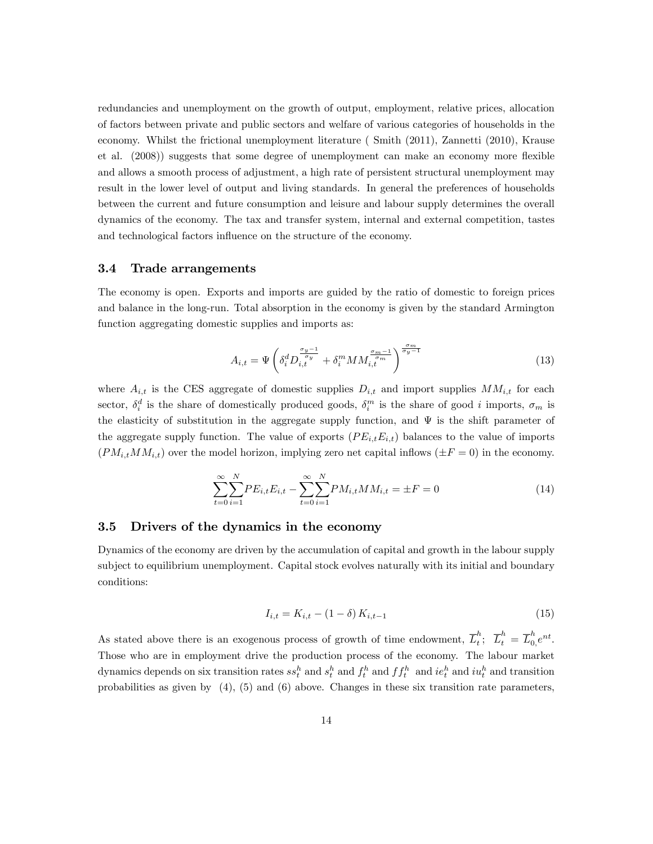redundancies and unemployment on the growth of output, employment, relative prices, allocation of factors between private and public sectors and welfare of various categories of households in the economy. Whilst the frictional unemployment literature ( Smith (2011), Zannetti (2010), Krause et al. (2008)) suggests that some degree of unemployment can make an economy more flexible and allows a smooth process of adjustment, a high rate of persistent structural unemployment may result in the lower level of output and living standards. In general the preferences of households between the current and future consumption and leisure and labour supply determines the overall dynamics of the economy. The tax and transfer system, internal and external competition, tastes and technological factors influence on the structure of the economy.

#### 3.4 Trade arrangements

The economy is open. Exports and imports are guided by the ratio of domestic to foreign prices and balance in the long-run. Total absorption in the economy is given by the standard Armington function aggregating domestic supplies and imports as:

$$
A_{i,t} = \Psi \left( \delta_i^d D_{i,t}^{\frac{\sigma_y - 1}{\sigma_y}} + \delta_i^m M M_{i,t}^{\frac{\sigma_m - 1}{\sigma_m}} \right)^{\frac{\sigma_m}{\sigma_y - 1}} \tag{13}
$$

where  $A_{i,t}$  is the CES aggregate of domestic supplies  $D_{i,t}$  and import supplies  $MM_{i,t}$  for each sector,  $\delta_i^d$  is the share of domestically produced goods,  $\delta_i^m$  is the share of good i imports,  $\sigma_m$  is the elasticity of substitution in the aggregate supply function, and  $\Psi$  is the shift parameter of the aggregate supply function. The value of exports  $(PE_{i,t}E_{i,t})$  balances to the value of imports  $(PM_{i,t}MM_{i,t})$  over the model horizon, implying zero net capital inflows  $(\pm F = 0)$  in the economy.

$$
\sum_{t=0}^{\infty} \sum_{i=1}^{N} PE_{i,t} E_{i,t} - \sum_{t=0}^{\infty} \sum_{i=1}^{N} PM_{i,t} MM_{i,t} = \pm F = 0
$$
\n(14)

#### 3.5 Drivers of the dynamics in the economy

Dynamics of the economy are driven by the accumulation of capital and growth in the labour supply subject to equilibrium unemployment. Capital stock evolves naturally with its initial and boundary conditions:

$$
I_{i,t} = K_{i,t} - (1 - \delta) K_{i,t-1}
$$
\n(15)

As stated above there is an exogenous process of growth of time endowment,  $\overline{L}_t^h$  $\frac{h}{t};\;\;\overline{L}^h_t\;=\;\overline{L}^h_0$  $\frac{n}{0}e^{nt}$ . Those who are in employment drive the production process of the economy. The labour market dynamics depends on six transition rates  $ss_t^h$  and  $s_t^h$  and  $f_t^h$  and  $if_t^h$  and  $ie_t^h$  and  $iu_t^h$  and transition probabilities as given by (4), (5) and (6) above. Changes in these six transition rate parameters,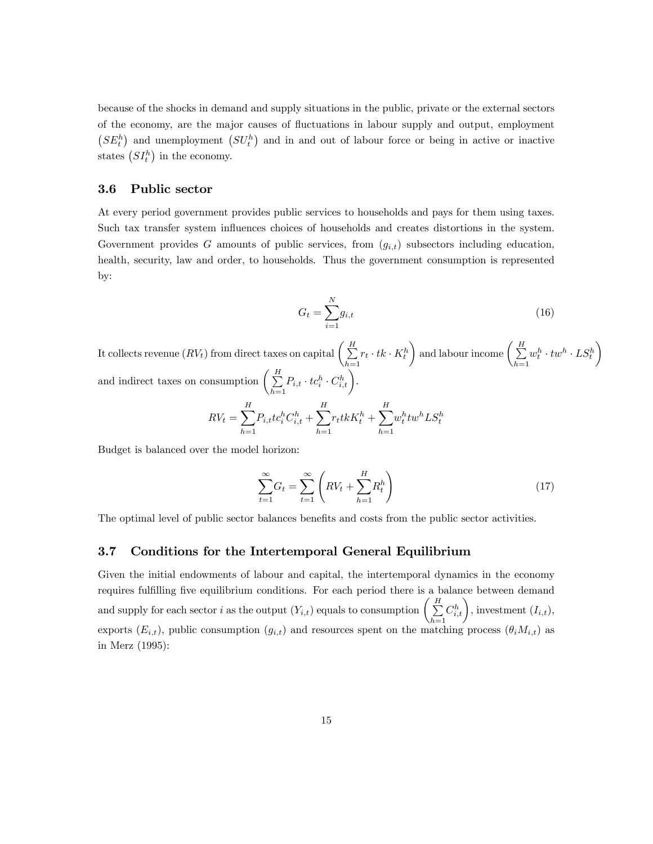because of the shocks in demand and supply situations in the public, private or the external sectors of the economy, are the major causes of áuctuations in labour supply and output, employment  $(SE_t^h)$  and unemployment  $(SU_t^h)$  and in and out of labour force or being in active or inactive states  $(SI_t^h)$  in the economy.

#### 3.6 Public sector

At every period government provides public services to households and pays for them using taxes. Such tax transfer system influences choices of households and creates distortions in the system. Government provides G amounts of public services, from  $(g_{i,t})$  subsectors including education, health, security, law and order, to households. Thus the government consumption is represented by:

$$
G_t = \sum_{i=1}^{N} g_{i,t} \tag{16}
$$

It collects revenue  $(RV_t)$  from direct taxes on capital  $\Big(\sum\limits_{}^H$  $\sum_{h=1} r_t \cdot tk \cdot K_t^h$ ) and labour income  $\left(\begin{array}{c} H \\ \sum \end{array}\right)$  $h=1$  $w_t^h \cdot tw^h \cdot \textit{LS}_t^h$  $\setminus$ and indirect taxes on consumption  $\begin{pmatrix} H \\ \Sigma \end{pmatrix}$  $\sum_{h=1}^H P_{i,t} \cdot tc_i^h \cdot C_{i,t}^h\bigg).$ H H H

$$
RV_t = \sum_{h=1}^{H} P_{i,t}tc_i^h C_{i,t}^h + \sum_{h=1}^{H} r_t tk K_t^h + \sum_{h=1}^{H} w_t^h tw^h LS_t^h
$$

Budget is balanced over the model horizon:

$$
\sum_{t=1}^{\infty} G_t = \sum_{t=1}^{\infty} \left( RV_t + \sum_{h=1}^{H} R_t^h \right) \tag{17}
$$

The optimal level of public sector balances benefits and costs from the public sector activities.

#### 3.7 Conditions for the Intertemporal General Equilibrium

Given the initial endowments of labour and capital, the intertemporal dynamics in the economy requires fulfilling five equilibrium conditions. For each period there is a balance between demand and supply for each sector i as the output  $(Y_{i,t})$  equals to consumption  $\left( \sum_{i=1}^{H} X_i \right)$  $h=1$  $C_{i,t}^h$ , investment  $(I_{i,t}),$ exports  $(E_{i,t})$ , public consumption  $(g_{i,t})$  and resources spent on the matching process  $(\theta_i M_{i,t})$  as in Merz (1995):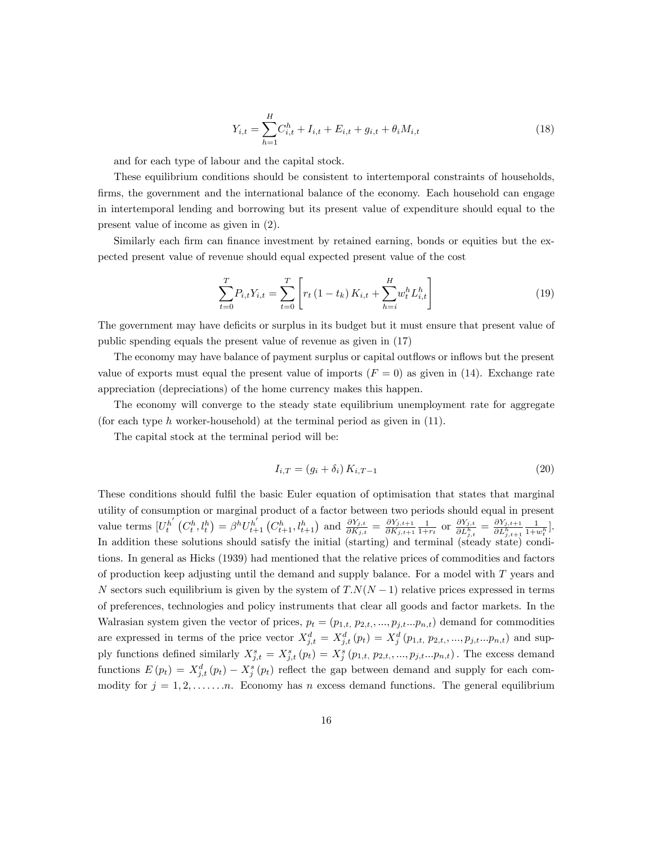$$
Y_{i,t} = \sum_{h=1}^{H} C_{i,t}^{h} + I_{i,t} + E_{i,t} + g_{i,t} + \theta_i M_{i,t}
$$
\n(18)

and for each type of labour and the capital stock.

These equilibrium conditions should be consistent to intertemporal constraints of households, firms, the government and the international balance of the economy. Each household can engage in intertemporal lending and borrowing but its present value of expenditure should equal to the present value of income as given in (2).

Similarly each firm can finance investment by retained earning, bonds or equities but the expected present value of revenue should equal expected present value of the cost

$$
\sum_{t=0}^{T} P_{i,t} Y_{i,t} = \sum_{t=0}^{T} \left[ r_t \left( 1 - t_k \right) K_{i,t} + \sum_{h=i}^{H} w_t^h L_{i,t}^h \right] \tag{19}
$$

The government may have deficits or surplus in its budget but it must ensure that present value of public spending equals the present value of revenue as given in (17)

The economy may have balance of payment surplus or capital outflows or inflows but the present value of exports must equal the present value of imports  $(F = 0)$  as given in (14). Exchange rate appreciation (depreciations) of the home currency makes this happen.

The economy will converge to the steady state equilibrium unemployment rate for aggregate (for each type  $h$  worker-household) at the terminal period as given in  $(11)$ .

The capital stock at the terminal period will be:

$$
I_{i,T} = (g_i + \delta_i) K_{i,T-1}
$$
\n(20)

These conditions should fulfil the basic Euler equation of optimisation that states that marginal utility of consumption or marginal product of a factor between two periods should equal in present value terms  $\left[U_t^{h'}\left(C_t^h, l_t^h\right) = \beta^h U_{t+1}^{h'}\left(C_{t+1}^h, l_{t+1}^h\right)$  and  $\frac{\partial Y_{j,t}}{\partial K_{j,t}} = \frac{\partial Y_{j,t+1}}{\partial K_{j,t+1}}$  $\frac{\partial Y_{j,t+1}}{\partial K_{j,t+1}} \frac{1}{1+r_t}$  or  $\frac{\partial Y_{j,t}}{\partial L_{i,t}^h}$  $\frac{\partial Y_{j,t}}{\partial L^h_{j,t}} = \frac{\partial Y_{j,t+1}}{\partial L^h_{j,t+1}}$  $\overline{\partial L^h_{j,t+1}}$  $\frac{1}{1+w_t^h}$ . In addition these solutions should satisfy the initial (starting) and terminal (steady state) conditions. In general as Hicks (1939) had mentioned that the relative prices of commodities and factors of production keep adjusting until the demand and supply balance. For a model with  $T$  years and N sectors such equilibrium is given by the system of  $T.N(N-1)$  relative prices expressed in terms of preferences, technologies and policy instruments that clear all goods and factor markets. In the Walrasian system given the vector of prices,  $p_t = (p_{1,t}, p_{2,t}, ..., p_{j,t}...p_{n,t})$  demand for commodities are expressed in terms of the price vector  $X_{j,t}^d = X_{j,t}^d(p_t) = X_j^d(p_{1,t}, p_{2,t}, \ldots, p_{j,t} \ldots p_{n,t})$  and supply functions defined similarly  $X_{j,t}^s = X_{j,t}^s(p_t) = X_j^s(p_{1,t}, p_{2,t}, \ldots, p_{j,t} \ldots p_{n,t})$ . The excess demand functions  $E(p_t) = X_{j,t}^d(p_t) - X_j^s(p_t)$  reflect the gap between demand and supply for each commodity for  $j = 1, 2, \ldots, n$ . Economy has n excess demand functions. The general equilibrium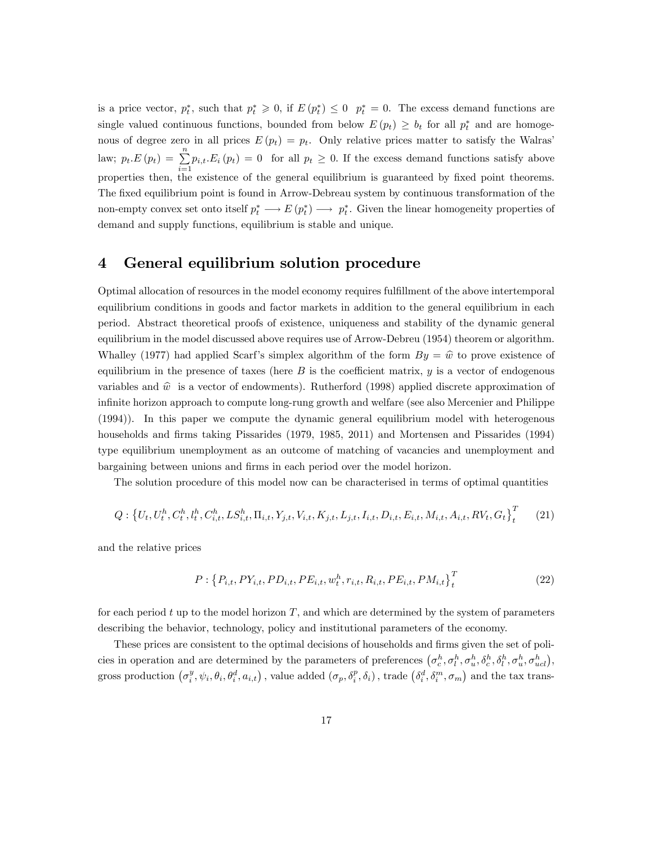is a price vector,  $p_t^*$ , such that  $p_t^* \geq 0$ , if  $E(p_t^*) \leq 0$   $p_t^* = 0$ . The excess demand functions are single valued continuous functions, bounded from below  $E(p_t) \geq b_t$  for all  $p_t^*$  and are homogenous of degree zero in all prices  $E(p_t) = p_t$ . Only relative prices matter to satisfy the Walras' law;  $p_t.E(p_t) = \sum_{i=1}^{n} p_{i,t}E_i(p_t) = 0$  for all  $p_t \ge 0$ . If the excess demand functions satisfy above properties then, the existence of the general equilibrium is guaranteed by fixed point theorems. The fixed equilibrium point is found in Arrow-Debreau system by continuous transformation of the non-empty convex set onto itself  $p_t^* \longrightarrow E(p_t^*) \longrightarrow p_t^*$ . Given the linear homogeneity properties of demand and supply functions, equilibrium is stable and unique.

### 4 General equilibrium solution procedure

Optimal allocation of resources in the model economy requires fulfillment of the above intertemporal equilibrium conditions in goods and factor markets in addition to the general equilibrium in each period. Abstract theoretical proofs of existence, uniqueness and stability of the dynamic general equilibrium in the model discussed above requires use of Arrow-Debreu (1954) theorem or algorithm. Whalley (1977) had applied Scarf's simplex algorithm of the form  $By = \hat{w}$  to prove existence of equilibrium in the presence of taxes (here  $B$  is the coefficient matrix,  $y$  is a vector of endogenous variables and  $\hat{w}$  is a vector of endowments). Rutherford (1998) applied discrete approximation of infinite horizon approach to compute long-rung growth and welfare (see also Mercenier and Philippe (1994)). In this paper we compute the dynamic general equilibrium model with heterogenous households and firms taking Pissarides (1979, 1985, 2011) and Mortensen and Pissarides (1994) type equilibrium unemployment as an outcome of matching of vacancies and unemployment and bargaining between unions and Örms in each period over the model horizon.

The solution procedure of this model now can be characterised in terms of optimal quantities

$$
Q: \left\{ U_t, U_t^h, C_t^h, l_t^h, C_{i,t}^h, L S_{i,t}^h, \Pi_{i,t}, Y_{j,t}, V_{i,t}, K_{j,t}, L_{j,t}, I_{i,t}, D_{i,t}, E_{i,t}, M_{i,t}, A_{i,t}, RV_t, G_t \right\}_{t}^T \tag{21}
$$

and the relative prices

$$
P: \left\{P_{i,t}, PY_{i,t}, PD_{i,t}, PE_{i,t}, w_t^h, r_{i,t}, R_{i,t}, PE_{i,t}, PM_{i,t}\right\}_t^T
$$
 (22)

for each period t up to the model horizon  $T$ , and which are determined by the system of parameters describing the behavior, technology, policy and institutional parameters of the economy.

These prices are consistent to the optimal decisions of households and firms given the set of policies in operation and are determined by the parameters of preferences  $(\sigma_c^h, \sigma_l^h, \sigma_u^h, \delta_c^h, \delta_l^h, \sigma_u^h, \sigma_u^h, \sigma_u^h, \sigma_u^h)$ , gross production  $(\sigma_i^y, \psi_i, \theta_i, \theta_i^d, a_{i,t})$ , value added  $(\sigma_p, \delta_i^p, \delta_i)$ , trade  $(\delta_i^d, \delta_i^m, \sigma_m)$  and the tax trans-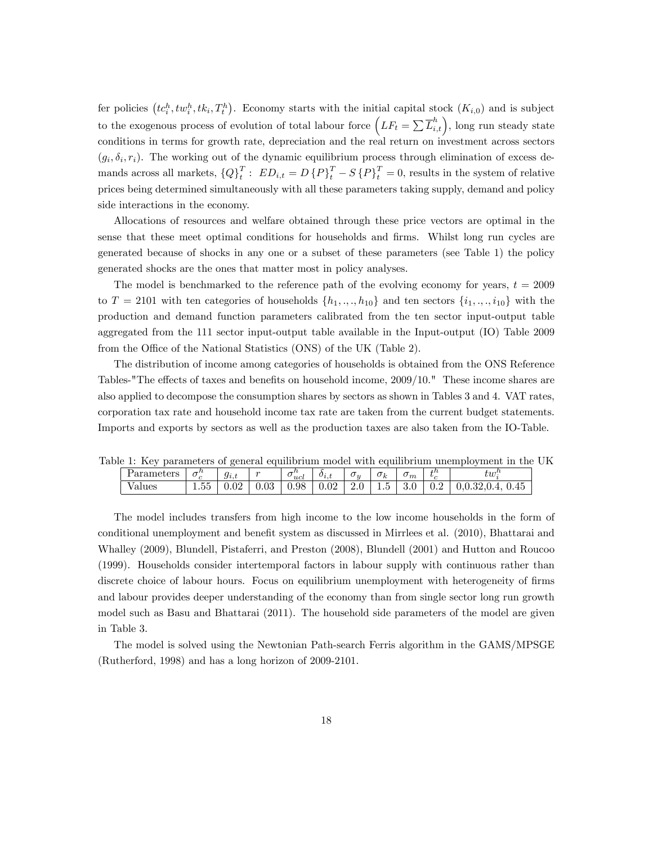fer policies  $(tc_i^h, tw_i^h, tk_i, T_i^h)$ . Economy starts with the initial capital stock  $(K_{i,0})$  and is subject to the exogenous process of evolution of total labour force  $(LF_t = \sum \overline{L}_{i,t}^h)$ , long run steady state conditions in terms for growth rate, depreciation and the real return on investment across sectors  $(g_i, \delta_i, r_i)$ . The working out of the dynamic equilibrium process through elimination of excess demands across all markets,  ${Q}^T_t$ :  $ED_{i,t} = D\{P\}^T_t - S\{P\}^T_t = 0$ , results in the system of relative prices being determined simultaneously with all these parameters taking supply, demand and policy side interactions in the economy.

Allocations of resources and welfare obtained through these price vectors are optimal in the sense that these meet optimal conditions for households and firms. Whilst long run cycles are generated because of shocks in any one or a subset of these parameters (see Table 1) the policy generated shocks are the ones that matter most in policy analyses.

The model is benchmarked to the reference path of the evolving economy for years,  $t = 2009$ to  $T = 2101$  with ten categories of households  $\{h_1, \ldots, h_{10}\}$  and ten sectors  $\{i_1, \ldots, i_{10}\}$  with the production and demand function parameters calibrated from the ten sector input-output table aggregated from the 111 sector input-output table available in the Input-output (IO) Table 2009 from the Office of the National Statistics (ONS) of the UK (Table 2).

The distribution of income among categories of households is obtained from the ONS Reference Tables-"The effects of taxes and benefits on household income,  $2009/10$ ." These income shares are also applied to decompose the consumption shares by sectors as shown in Tables 3 and 4. VAT rates, corporation tax rate and household income tax rate are taken from the current budget statements. Imports and exports by sectors as well as the production taxes are also taken from the IO-Table.

Table 1: Key parameters of general equilibrium model with equilibrium unemployment in the UK

| $\sim$<br>$\Omega$<br>$\sim$<br>$_{0.98}$<br>∩റ<br>$ -$<br>$\overline{\phantom{0}}$<br>n<br>ə.v<br>anues<br>1.00<br>v.və<br>v.v4<br>v.v4<br>∪.∠<br>$\sim$<br>⊥.∪<br><u>v.v.a.v.</u> | ot ove<br>. | $-11$<br>◡ | $g_{i,t}$ | $\sim$ | - '<br>$\checkmark$<br>ucl | $o_{i,\iota}$ | $\cup$ $\eta$ | $\sigma$<br>ĸ | $\mathsf{v}_m$ | $+n$<br>$\mathbf{v}_\alpha$ | $t$ an <sup>11</sup><br>ıw |
|-------------------------------------------------------------------------------------------------------------------------------------------------------------------------------------|-------------|------------|-----------|--------|----------------------------|---------------|---------------|---------------|----------------|-----------------------------|----------------------------|
|                                                                                                                                                                                     |             |            |           |        |                            |               |               |               |                |                             | $\rm 0.45$                 |

The model includes transfers from high income to the low income households in the form of conditional unemployment and benefit system as discussed in Mirrlees et al. (2010), Bhattarai and Whalley (2009), Blundell, Pistaferri, and Preston (2008), Blundell (2001) and Hutton and Roucoo (1999). Households consider intertemporal factors in labour supply with continuous rather than discrete choice of labour hours. Focus on equilibrium unemployment with heterogeneity of firms and labour provides deeper understanding of the economy than from single sector long run growth model such as Basu and Bhattarai (2011). The household side parameters of the model are given in Table 3.

The model is solved using the Newtonian Path-search Ferris algorithm in the GAMS/MPSGE (Rutherford, 1998) and has a long horizon of 2009-2101.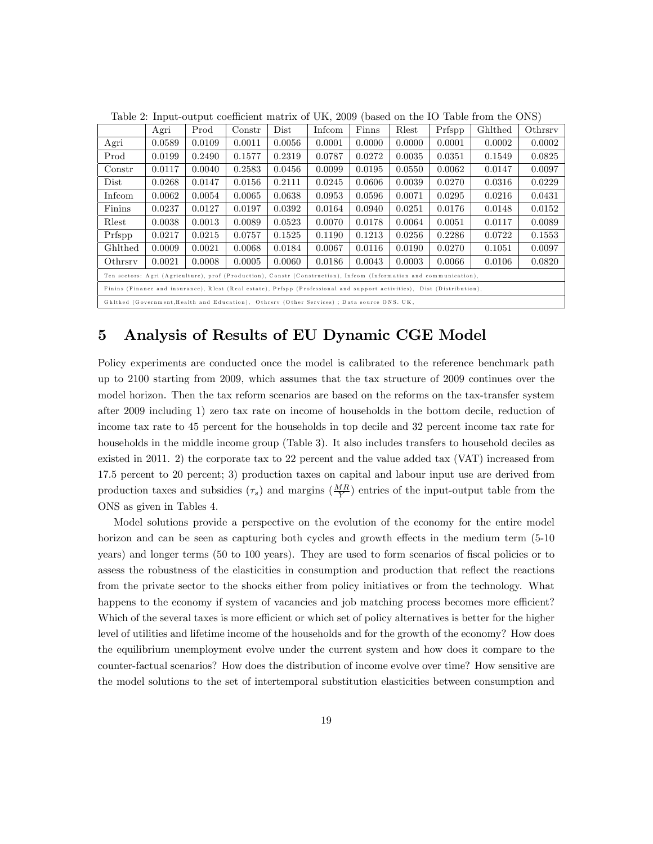|                                                                                                                         | Agri                                                                                   | Prod   | $_{\rm Constr}$ | Dist   | Infcom | Finns  | Rlest  | Prfspp | Ghlthed | Othrsrv |
|-------------------------------------------------------------------------------------------------------------------------|----------------------------------------------------------------------------------------|--------|-----------------|--------|--------|--------|--------|--------|---------|---------|
| Agri                                                                                                                    | 0.0589                                                                                 | 0.0109 | 0.0011          | 0.0056 | 0.0001 | 0.0000 | 0.0000 | 0.0001 | 0.0002  | 0.0002  |
| Prod                                                                                                                    | 0.0199                                                                                 | 0.2490 | 0.1577          | 0.2319 | 0.0787 | 0.0272 | 0.0035 | 0.0351 | 0.1549  | 0.0825  |
| Constr                                                                                                                  | 0.0117                                                                                 | 0.0040 | 0.2583          | 0.0456 | 0.0099 | 0.0195 | 0.0550 | 0.0062 | 0.0147  | 0.0097  |
| Dist                                                                                                                    | 0.0268                                                                                 | 0.0147 | 0.0156          | 0.2111 | 0.0245 | 0.0606 | 0.0039 | 0.0270 | 0.0316  | 0.0229  |
| Infcom                                                                                                                  | 0.0062                                                                                 | 0.0054 | 0.0065          | 0.0638 | 0.0953 | 0.0596 | 0.0071 | 0.0295 | 0.0216  | 0.0431  |
| Finins                                                                                                                  | 0.0237                                                                                 | 0.0127 | 0.0197          | 0.0392 | 0.0164 | 0.0940 | 0.0251 | 0.0176 | 0.0148  | 0.0152  |
| Rlest                                                                                                                   | 0.0523<br>0.0051<br>0.0038<br>0.0013<br>0.0089<br>0.0070<br>0.0178<br>0.0064<br>0.0117 |        |                 |        |        |        |        | 0.0089 |         |         |
| Prfspp                                                                                                                  | 0.0217                                                                                 | 0.0215 | 0.0757          | 0.1525 | 0.1190 | 0.1213 | 0.0256 | 0.2286 | 0.0722  | 0.1553  |
| Ghlthed                                                                                                                 | 0.0009<br>0.0021<br>0.0068<br>0.0184<br>0.0067<br>0.0116<br>0.0190<br>0.0270<br>0.1051 |        |                 |        |        |        |        |        | 0.0097  |         |
| 0.0021<br>0.0060<br>Othrsrv<br>0.0008<br>0.0005<br>0.0186<br>0.0043<br>0.0003<br>0.0066<br>0.0106                       |                                                                                        |        |                 |        |        |        |        |        | 0.0820  |         |
| Ten sectors: Agri (Agriculture), prof (Production), Constr (Construction), Infcom (Information and communication),      |                                                                                        |        |                 |        |        |        |        |        |         |         |
| Finins (Finance and insurance), Rlest (Real estate), Prfspp (Professional and support activities), Dist (Distribution), |                                                                                        |        |                 |        |        |        |        |        |         |         |
| Ghlthed (Government, Health and Education), Othrsrv (Other Services) ; Data source ONS. UK,                             |                                                                                        |        |                 |        |        |        |        |        |         |         |

Table 2: Input-output coefficient matrix of UK, 2009 (based on the IO Table from the ONS)

### 5 Analysis of Results of EU Dynamic CGE Model

Policy experiments are conducted once the model is calibrated to the reference benchmark path up to 2100 starting from 2009, which assumes that the tax structure of 2009 continues over the model horizon. Then the tax reform scenarios are based on the reforms on the tax-transfer system after 2009 including 1) zero tax rate on income of households in the bottom decile, reduction of income tax rate to 45 percent for the households in top decile and 32 percent income tax rate for households in the middle income group (Table 3). It also includes transfers to household deciles as existed in 2011. 2) the corporate tax to 22 percent and the value added tax (VAT) increased from 17.5 percent to 20 percent; 3) production taxes on capital and labour input use are derived from production taxes and subsidies  $(\tau_s)$  and margins  $(\frac{MR}{Y})$  entries of the input-output table from the ONS as given in Tables 4.

Model solutions provide a perspective on the evolution of the economy for the entire model horizon and can be seen as capturing both cycles and growth effects in the medium term  $(5-10)$ years) and longer terms (50 to 100 years). They are used to form scenarios of fiscal policies or to assess the robustness of the elasticities in consumption and production that reflect the reactions from the private sector to the shocks either from policy initiatives or from the technology. What happens to the economy if system of vacancies and job matching process becomes more efficient? Which of the several taxes is more efficient or which set of policy alternatives is better for the higher level of utilities and lifetime income of the households and for the growth of the economy? How does the equilibrium unemployment evolve under the current system and how does it compare to the counter-factual scenarios? How does the distribution of income evolve over time? How sensitive are the model solutions to the set of intertemporal substitution elasticities between consumption and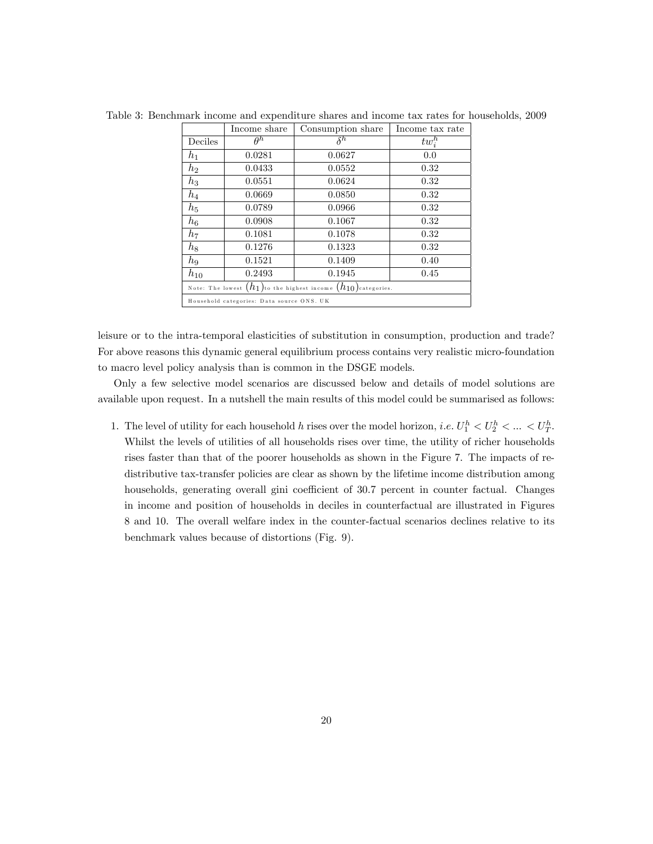|                                                                       | Income share                              | Consumption share | Income tax rate |  |  |  |  |  |
|-----------------------------------------------------------------------|-------------------------------------------|-------------------|-----------------|--|--|--|--|--|
| Deciles                                                               | $\theta^h$                                | $\delta^h$        | $tw_i^h$        |  |  |  |  |  |
| $h_1$                                                                 | 0.0281                                    | 0.0627            | 0.0             |  |  |  |  |  |
| $h_2$                                                                 | 0.0433                                    | 0.0552            | 0.32            |  |  |  |  |  |
| $h_3$                                                                 | 0.0551                                    | 0.0624            | 0.32            |  |  |  |  |  |
| $h_4$                                                                 | 0.0669                                    | 0.0850            | 0.32            |  |  |  |  |  |
| $h_5$                                                                 | 0.0789                                    | 0.0966            | 0.32            |  |  |  |  |  |
| $h_{\rm 6}$                                                           | 0.0908                                    | 0.1067            | 0.32            |  |  |  |  |  |
| $h_7$                                                                 | 0.1081                                    | 0.1078            | 0.32            |  |  |  |  |  |
| $h_8$                                                                 | 0.1276                                    | 0.1323            | 0.32            |  |  |  |  |  |
| $h_9$                                                                 | 0.1521                                    | 0.1409            | 0.40            |  |  |  |  |  |
| $h_{10}$                                                              | 0.2493                                    | 0.1945            | 0.45            |  |  |  |  |  |
| Note: The lowest $(h_1)$ to the highest income $(h_{10})$ categories. |                                           |                   |                 |  |  |  |  |  |
|                                                                       | Household categories: Data source ONS. UK |                   |                 |  |  |  |  |  |

Table 3: Benchmark income and expenditure shares and income tax rates for households, 2009

leisure or to the intra-temporal elasticities of substitution in consumption, production and trade? For above reasons this dynamic general equilibrium process contains very realistic micro-foundation to macro level policy analysis than is common in the DSGE models.

Only a few selective model scenarios are discussed below and details of model solutions are available upon request. In a nutshell the main results of this model could be summarised as follows:

1. The level of utility for each household h rises over the model horizon, i.e.  $U_1^h < U_2^h < \ldots < U_T^h$ . Whilst the levels of utilities of all households rises over time, the utility of richer households rises faster than that of the poorer households as shown in the Figure 7. The impacts of redistributive tax-transfer policies are clear as shown by the lifetime income distribution among households, generating overall gini coefficient of 30.7 percent in counter factual. Changes in income and position of households in deciles in counterfactual are illustrated in Figures 8 and 10. The overall welfare index in the counter-factual scenarios declines relative to its benchmark values because of distortions (Fig. 9).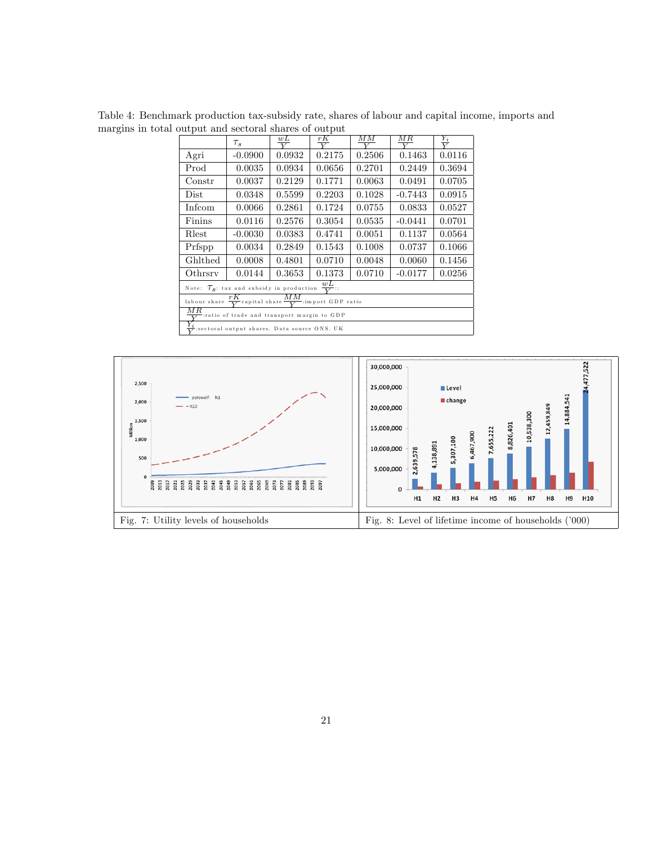Table 4: Benchmark production tax-subsidy rate, shares of labour and capital income, imports and margins in total output and sectoral shares of output

|                                                                                     | ΜМ<br>M R<br>rK<br>wL<br>$\frac{Y_i}{V}$<br>$\tau_s$<br>$\overline{\mathbf{v}}$<br>$\overline{\mathbf{v}}$              |                                                   |                                      |  |  |  |  |  |  |
|-------------------------------------------------------------------------------------|-------------------------------------------------------------------------------------------------------------------------|---------------------------------------------------|--------------------------------------|--|--|--|--|--|--|
| Agri                                                                                | $-0.0900$                                                                                                               | 0.0932                                            | 0.2175<br>0.2506<br>0.0116<br>0.1463 |  |  |  |  |  |  |
| $\rm Prod$<br>0.2701<br>0.0035<br>0.0934<br>0.0656<br>0.2449<br>0.3694              |                                                                                                                         |                                                   |                                      |  |  |  |  |  |  |
| 0.0037<br>0.2129<br>0.1771<br>0.0063<br>0.0491<br>0.0705<br>$_{\rm Constr}$         |                                                                                                                         |                                                   |                                      |  |  |  |  |  |  |
| Dist                                                                                | 0.0915<br>0.5599<br>0.2203<br>0.1028<br>0.0348<br>$-0.7443$<br>0.1724<br>0.0066<br>0.0755<br>0.0833<br>0.0527<br>0.2861 |                                                   |                                      |  |  |  |  |  |  |
| Infcom                                                                              |                                                                                                                         |                                                   |                                      |  |  |  |  |  |  |
| Finins                                                                              | 0.0116                                                                                                                  | 0.2576<br>0.3054<br>0.0535<br>$-0.0441$<br>0.0701 |                                      |  |  |  |  |  |  |
| 0.4741<br>0.1137<br>$-0.0030$<br>0.0383<br>0.0051<br>0.0564<br>Rlest                |                                                                                                                         |                                                   |                                      |  |  |  |  |  |  |
| 0.0034<br>0.1008<br>0.0737<br>0.1066<br>0.2849<br>0.1543<br>Prfspp                  |                                                                                                                         |                                                   |                                      |  |  |  |  |  |  |
| Ghlthed                                                                             | 0.0710<br>0.0048<br>0.0060<br>0.1456<br>0.0008<br>0.4801                                                                |                                                   |                                      |  |  |  |  |  |  |
| 0.0710<br>$-0.0177$<br>0.0144<br>0.3653<br>0.1373<br>0.0256<br>Othrsry              |                                                                                                                         |                                                   |                                      |  |  |  |  |  |  |
| Note: $\tau_s$ : tax and subsidy in production $\frac{wL}{V}$ .                     |                                                                                                                         |                                                   |                                      |  |  |  |  |  |  |
| MМ<br>rК<br>labour share $\frac{1}{V}$ capital share $\frac{1}{V}$ import GDP ratio |                                                                                                                         |                                                   |                                      |  |  |  |  |  |  |
| $_{MR}$<br>ratio of trade and transport margin to GDP:                              |                                                                                                                         |                                                   |                                      |  |  |  |  |  |  |
| $\frac{1}{\sqrt{2}}$ :sectoral output shares. Data source ONS. UK                   |                                                                                                                         |                                                   |                                      |  |  |  |  |  |  |

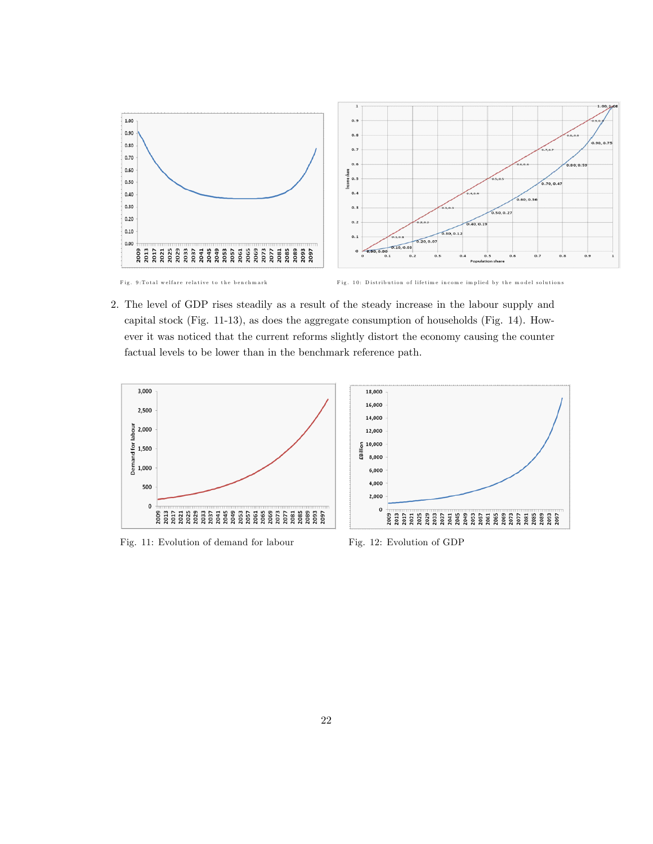

2. The level of GDP rises steadily as a result of the steady increase in the labour supply and capital stock (Fig. 11-13), as does the aggregate consumption of households (Fig. 14). However it was noticed that the current reforms slightly distort the economy causing the counter factual levels to be lower than in the benchmark reference path.



Fig. 11: Evolution of demand for labour Fig. 12: Evolution of GDP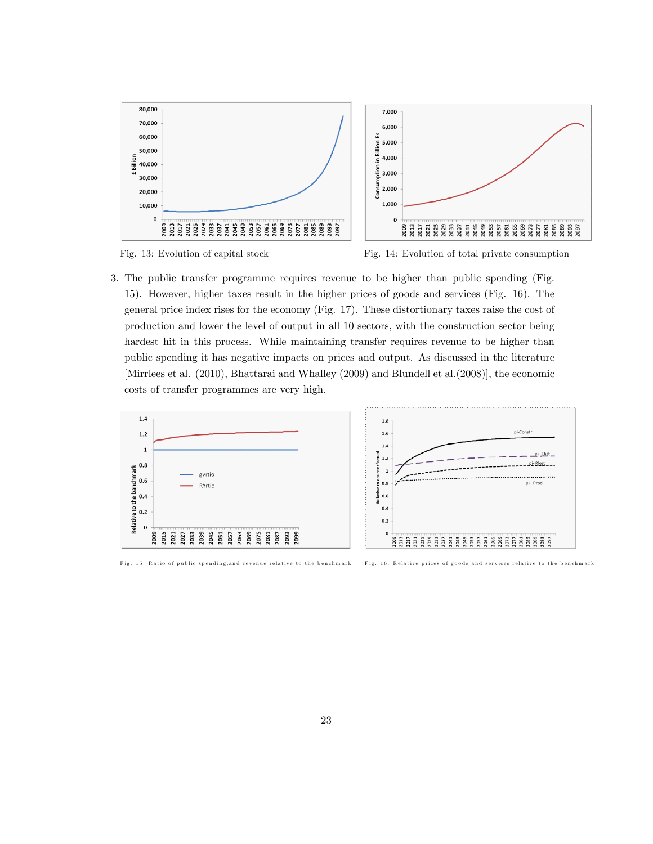



Fig. 13: Evolution of capital stock Fig. 14: Evolution of total private consumption

3. The public transfer programme requires revenue to be higher than public spending (Fig. 15). However, higher taxes result in the higher prices of goods and services (Fig. 16). The general price index rises for the economy (Fig. 17). These distortionary taxes raise the cost of production and lower the level of output in all 10 sectors, with the construction sector being hardest hit in this process. While maintaining transfer requires revenue to be higher than public spending it has negative impacts on prices and output. As discussed in the literature [Mirrlees et al. (2010), Bhattarai and Whalley (2009) and Blundell et al.(2008)], the economic costs of transfer programmes are very high.

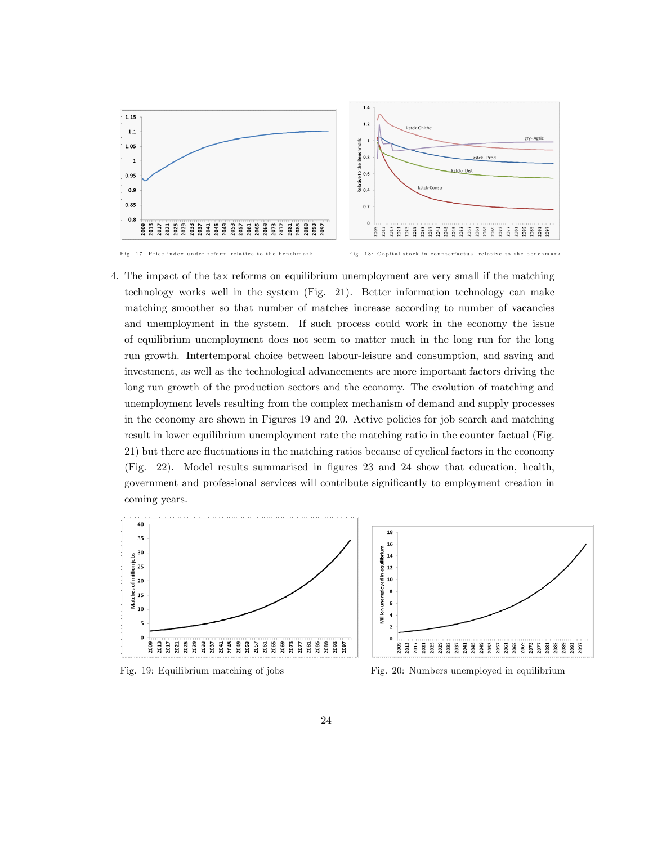

Fig. 17: Price index under reform relative to the benchmark Fig. 18: Capital stock in counterfactual relative to the benchmark

4. The impact of the tax reforms on equilibrium unemployment are very small if the matching technology works well in the system (Fig. 21). Better information technology can make matching smoother so that number of matches increase according to number of vacancies and unemployment in the system. If such process could work in the economy the issue of equilibrium unemployment does not seem to matter much in the long run for the long run growth. Intertemporal choice between labour-leisure and consumption, and saving and investment, as well as the technological advancements are more important factors driving the long run growth of the production sectors and the economy. The evolution of matching and unemployment levels resulting from the complex mechanism of demand and supply processes in the economy are shown in Figures 19 and 20. Active policies for job search and matching result in lower equilibrium unemployment rate the matching ratio in the counter factual (Fig. 21) but there are áuctuations in the matching ratios because of cyclical factors in the economy (Fig. 22). Model results summarised in Ögures 23 and 24 show that education, health, government and professional services will contribute significantly to employment creation in coming years.



Fig. 19: Equilibrium matching of jobs Fig. 20: Numbers unemployed in equilibrium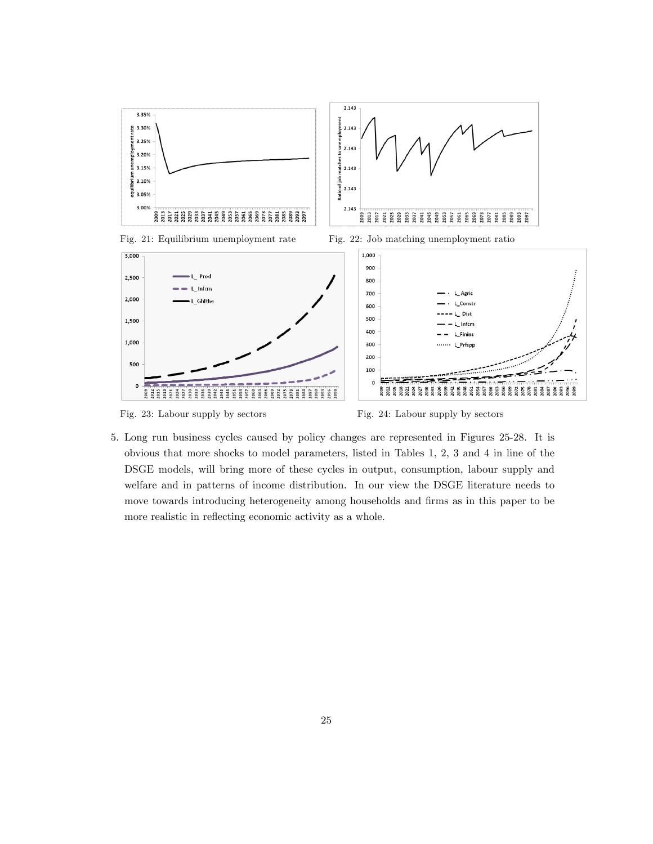



5. Long run business cycles caused by policy changes are represented in Figures 25-28. It is obvious that more shocks to model parameters, listed in Tables 1, 2, 3 and 4 in line of the DSGE models, will bring more of these cycles in output, consumption, labour supply and welfare and in patterns of income distribution. In our view the DSGE literature needs to move towards introducing heterogeneity among households and firms as in this paper to be more realistic in reflecting economic activity as a whole.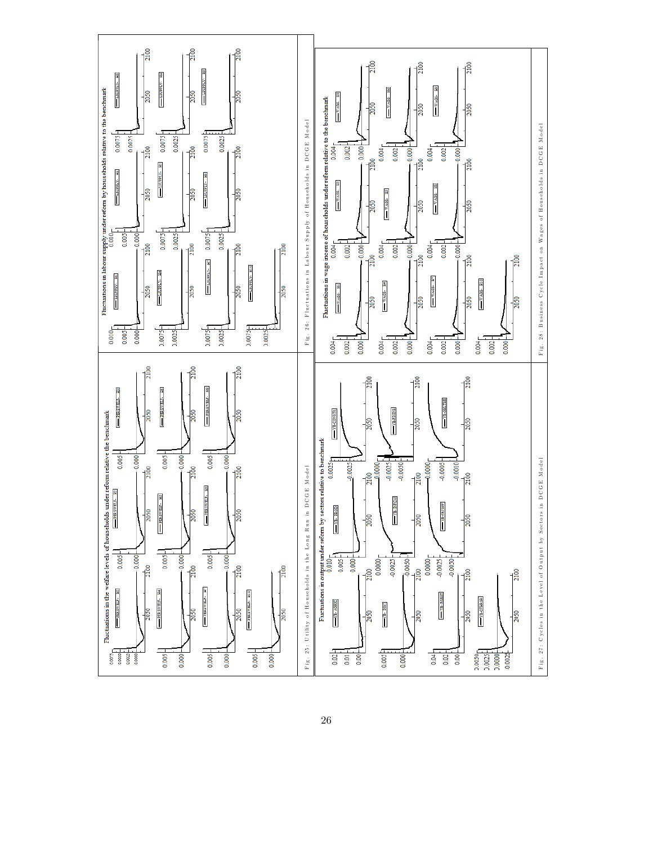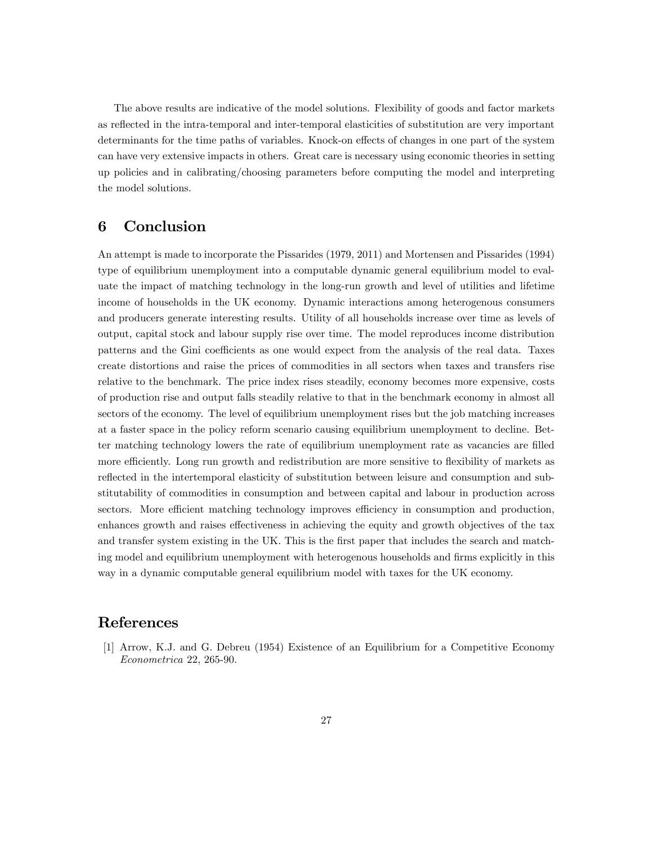The above results are indicative of the model solutions. Flexibility of goods and factor markets as reflected in the intra-temporal and inter-temporal elasticities of substitution are very important determinants for the time paths of variables. Knock-on effects of changes in one part of the system can have very extensive impacts in others. Great care is necessary using economic theories in setting up policies and in calibrating/choosing parameters before computing the model and interpreting the model solutions.

### 6 Conclusion

An attempt is made to incorporate the Pissarides (1979, 2011) and Mortensen and Pissarides (1994) type of equilibrium unemployment into a computable dynamic general equilibrium model to evaluate the impact of matching technology in the long-run growth and level of utilities and lifetime income of households in the UK economy. Dynamic interactions among heterogenous consumers and producers generate interesting results. Utility of all households increase over time as levels of output, capital stock and labour supply rise over time. The model reproduces income distribution patterns and the Gini coefficients as one would expect from the analysis of the real data. Taxes create distortions and raise the prices of commodities in all sectors when taxes and transfers rise relative to the benchmark. The price index rises steadily, economy becomes more expensive, costs of production rise and output falls steadily relative to that in the benchmark economy in almost all sectors of the economy. The level of equilibrium unemployment rises but the job matching increases at a faster space in the policy reform scenario causing equilibrium unemployment to decline. Better matching technology lowers the rate of equilibrium unemployment rate as vacancies are filled more efficiently. Long run growth and redistribution are more sensitive to flexibility of markets as reflected in the intertemporal elasticity of substitution between leisure and consumption and substitutability of commodities in consumption and between capital and labour in production across sectors. More efficient matching technology improves efficiency in consumption and production, enhances growth and raises effectiveness in achieving the equity and growth objectives of the tax and transfer system existing in the UK. This is the first paper that includes the search and matching model and equilibrium unemployment with heterogenous households and firms explicitly in this way in a dynamic computable general equilibrium model with taxes for the UK economy.

## References

[1] Arrow, K.J. and G. Debreu (1954) Existence of an Equilibrium for a Competitive Economy Econometrica 22, 265-90.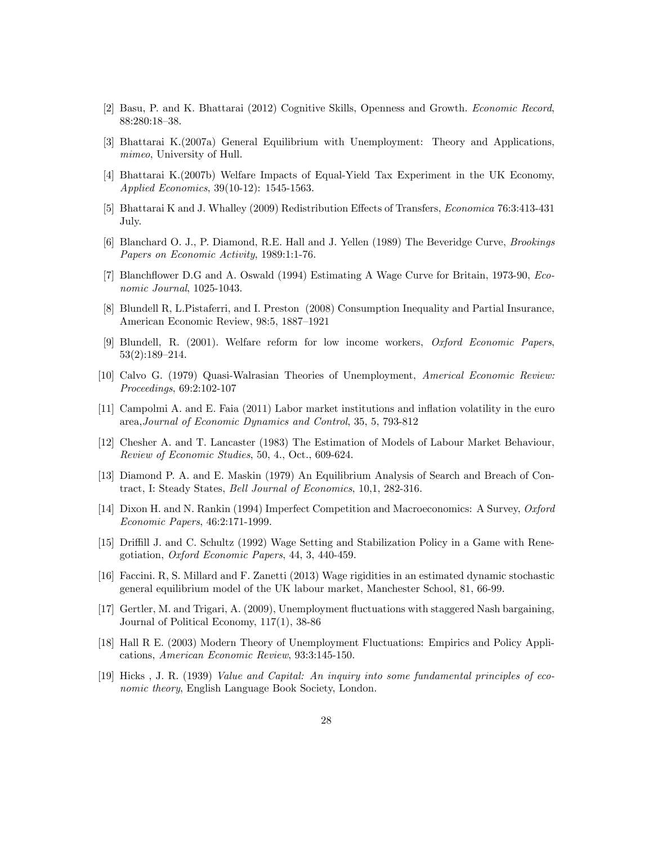- [2] Basu, P. and K. Bhattarai (2012) Cognitive Skills, Openness and Growth. Economic Record, 88:280:18-38.
- [3] Bhattarai K.(2007a) General Equilibrium with Unemployment: Theory and Applications, mimeo, University of Hull.
- [4] Bhattarai K.(2007b) Welfare Impacts of Equal-Yield Tax Experiment in the UK Economy, Applied Economics, 39(10-12): 1545-1563.
- [5] Bhattarai K and J. Whalley (2009) Redistribution Effects of Transfers, *Economica* 76:3:413-431 July.
- [6] Blanchard O. J., P. Diamond, R.E. Hall and J. Yellen (1989) The Beveridge Curve, Brookings Papers on Economic Activity, 1989:1:1-76.
- [7] Blanchflower D.G and A. Oswald (1994) Estimating A Wage Curve for Britain, 1973-90, *Eco*nomic Journal, 1025-1043.
- [8] Blundell R, L.Pistaferri, and I. Preston (2008) Consumption Inequality and Partial Insurance, American Economic Review, 98:5, 1887-1921
- [9] Blundell, R. (2001). Welfare reform for low income workers, Oxford Economic Papers,  $53(2):189-214.$
- [10] Calvo G. (1979) Quasi-Walrasian Theories of Unemployment, Americal Economic Review: Proceedings, 69:2:102-107
- [11] Campolmi A. and E. Faia (2011) Labor market institutions and ináation volatility in the euro area,Journal of Economic Dynamics and Control, 35, 5, 793-812
- [12] Chesher A. and T. Lancaster (1983) The Estimation of Models of Labour Market Behaviour, Review of Economic Studies, 50, 4., Oct., 609-624.
- [13] Diamond P. A. and E. Maskin (1979) An Equilibrium Analysis of Search and Breach of Contract, I: Steady States, Bell Journal of Economics, 10,1, 282-316.
- [14] Dixon H. and N. Rankin (1994) Imperfect Competition and Macroeconomics: A Survey, Oxford Economic Papers, 46:2:171-1999.
- [15] Driffill J. and C. Schultz (1992) Wage Setting and Stabilization Policy in a Game with Renegotiation, Oxford Economic Papers, 44, 3, 440-459.
- [16] Faccini. R, S. Millard and F. Zanetti (2013) Wage rigidities in an estimated dynamic stochastic general equilibrium model of the UK labour market, Manchester School, 81, 66-99.
- [17] Gertler, M. and Trigari, A. (2009), Unemployment áuctuations with staggered Nash bargaining, Journal of Political Economy, 117(1), 38-86
- [18] Hall R E. (2003) Modern Theory of Unemployment Fluctuations: Empirics and Policy Applications, American Economic Review, 93:3:145-150.
- [19] Hicks , J. R. (1939) Value and Capital: An inquiry into some fundamental principles of economic theory, English Language Book Society, London.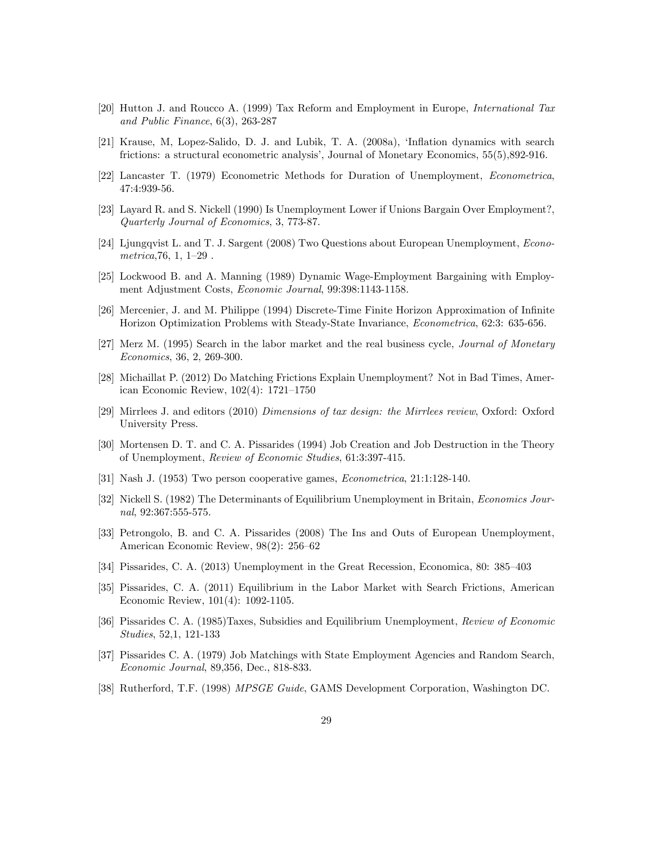- [20] Hutton J. and Roucco A. (1999) Tax Reform and Employment in Europe, International Tax and Public Finance, 6(3), 263-287
- [21] Krause, M, Lopez-Salido, D. J. and Lubik, T. A. (2008a), 'Inflation dynamics with search frictions: a structural econometric analysis', Journal of Monetary Economics,  $55(5)$ ,  $892-916$ .
- [22] Lancaster T. (1979) Econometric Methods for Duration of Unemployment, Econometrica, 47:4:939-56.
- [23] Layard R. and S. Nickell (1990) Is Unemployment Lower if Unions Bargain Over Employment?, Quarterly Journal of Economics, 3, 773-87.
- [24] Ljungqvist L. and T. J. Sargent (2008) Two Questions about European Unemployment, Econo $metrica, 76, 1, 1-29$ .
- [25] Lockwood B. and A. Manning (1989) Dynamic Wage-Employment Bargaining with Employment Adjustment Costs, Economic Journal, 99:398:1143-1158.
- [26] Mercenier, J. and M. Philippe (1994) Discrete-Time Finite Horizon Approximation of Infinite Horizon Optimization Problems with Steady-State Invariance, Econometrica, 62:3: 635-656.
- [27] Merz M. (1995) Search in the labor market and the real business cycle, Journal of Monetary Economics, 36, 2, 269-300.
- [28] Michaillat P. (2012) Do Matching Frictions Explain Unemployment? Not in Bad Times, American Economic Review,  $102(4)$ : 1721–1750
- [29] Mirrlees J. and editors (2010) Dimensions of tax design: the Mirrlees review, Oxford: Oxford University Press.
- [30] Mortensen D. T. and C. A. Pissarides (1994) Job Creation and Job Destruction in the Theory of Unemployment, Review of Economic Studies, 61:3:397-415.
- [31] Nash J. (1953) Two person cooperative games, Econometrica, 21:1:128-140.
- [32] Nickell S. (1982) The Determinants of Equilibrium Unemployment in Britain, Economics Journal, 92:367:555-575.
- [33] Petrongolo, B. and C. A. Pissarides (2008) The Ins and Outs of European Unemployment, American Economic Review,  $98(2)$ :  $256-62$
- [34] Pissarides, C. A. (2013) Unemployment in the Great Recession, Economica, 80:  $385-403$
- [35] Pissarides, C. A. (2011) Equilibrium in the Labor Market with Search Frictions, American Economic Review, 101(4): 1092-1105.
- [36] Pissarides C. A. (1985)Taxes, Subsidies and Equilibrium Unemployment, Review of Economic Studies, 52,1, 121-133
- [37] Pissarides C. A. (1979) Job Matchings with State Employment Agencies and Random Search, Economic Journal, 89,356, Dec., 818-833.
- [38] Rutherford, T.F. (1998) MPSGE Guide, GAMS Development Corporation, Washington DC.